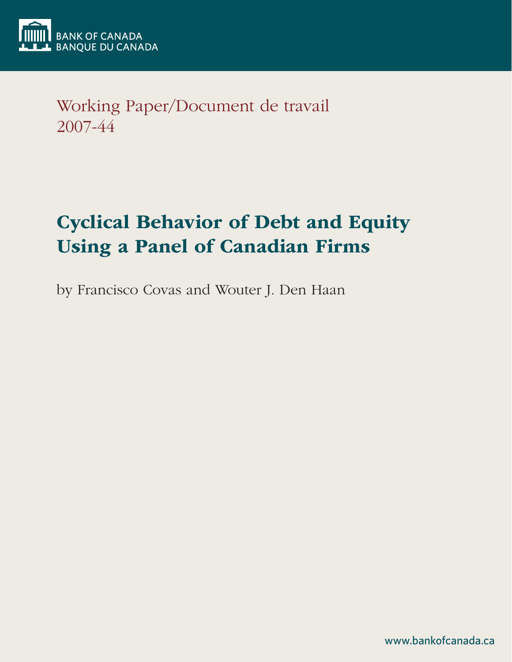

Working Paper/Document de travail 2007-44

# Cyclical Behavior of Debt and Equity Using a Panel of Canadian Firms

by Francisco Covas and Wouter J. Den Haan

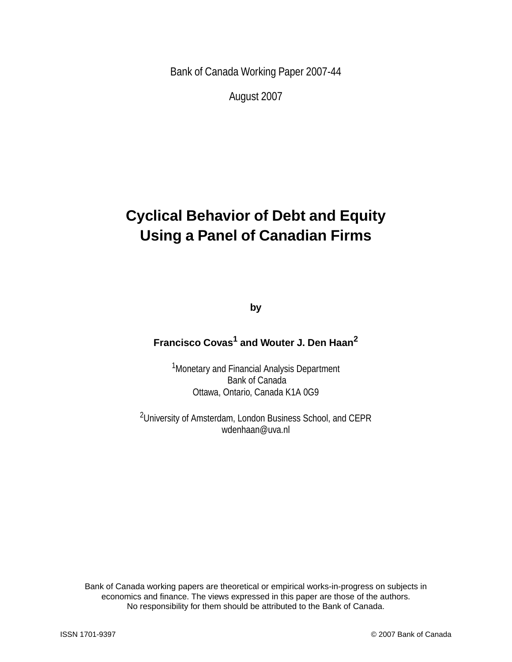Bank of Canada Working Paper 2007-44

August 2007

## **Cyclical Behavior of Debt and Equity Using a Panel of Canadian Firms**

**by**

## **Francisco Covas<sup>1</sup> and Wouter J. Den Haan<sup>2</sup>**

<sup>1</sup> Monetary and Financial Analysis Department Bank of Canada Ottawa, Ontario, Canada K1A 0G9

2University of Amsterdam, London Business School, and CEPR wdenhaan@uva.nl

Bank of Canada working papers are theoretical or empirical works-in-progress on subjects in economics and finance. The views expressed in this paper are those of the authors. No responsibility for them should be attributed to the Bank of Canada.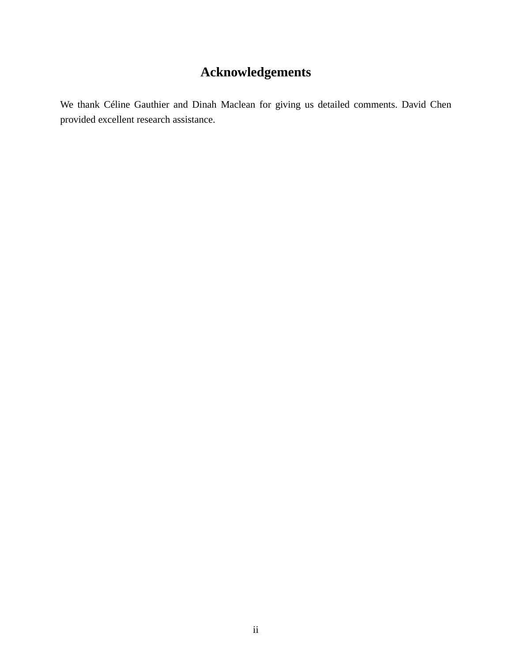## **Acknowledgements**

We thank Céline Gauthier and Dinah Maclean for giving us detailed comments. David Chen provided excellent research assistance.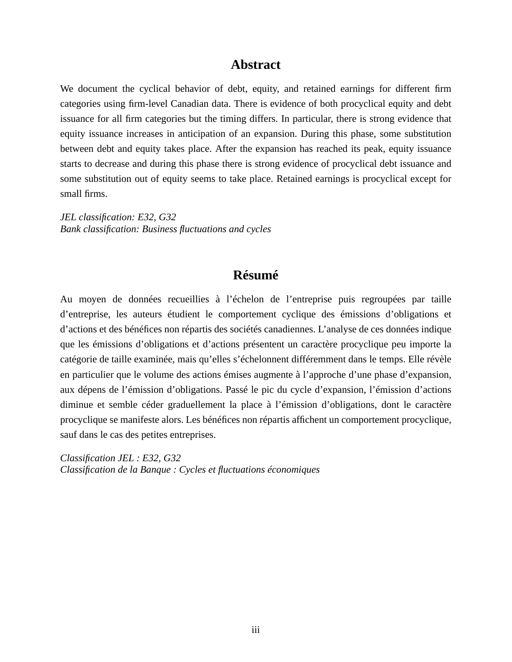## **Abstract**

We document the cyclical behavior of debt, equity, and retained earnings for different firm categories using firm-level Canadian data. There is evidence of both procyclical equity and debt issuance for all firm categories but the timing differs. In particular, there is strong evidence that equity issuance increases in anticipation of an expansion. During this phase, some substitution between debt and equity takes place. After the expansion has reached its peak, equity issuance starts to decrease and during this phase there is strong evidence of procyclical debt issuance and some substitution out of equity seems to take place. Retained earnings is procyclical except for small firms.

*JEL classification: E32, G32 Bank classification: Business fluctuations and cycles*

## **Résumé**

Au moyen de données recueillies à l'échelon de l'entreprise puis regroupées par taille d'entreprise, les auteurs étudient le comportement cyclique des émissions d'obligations et d'actions et des bénéfices non répartis des sociétés canadiennes. L'analyse de ces données indique que les émissions d'obligations et d'actions présentent un caractère procyclique peu importe la catégorie de taille examinée, mais qu'elles s'échelonnent différemment dans le temps. Elle révèle en particulier que le volume des actions émises augmente à l'approche d'une phase d'expansion, aux dépens de l'émission d'obligations. Passé le pic du cycle d'expansion, l'émission d'actions diminue et semble céder graduellement la place à l'émission d'obligations, dont le caractère procyclique se manifeste alors. Les bénéfices non répartis affichent un comportement procyclique, sauf dans le cas des petites entreprises.

*Classification JEL : E32, G32 Classification de la Banque : Cycles et fluctuations économiques*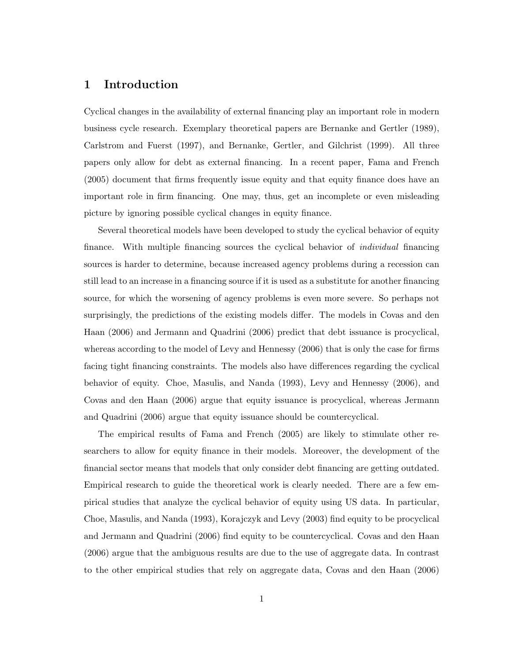### 1 Introduction

Cyclical changes in the availability of external financing play an important role in modern business cycle research. Exemplary theoretical papers are Bernanke and Gertler (1989), Carlstrom and Fuerst (1997), and Bernanke, Gertler, and Gilchrist (1999). All three papers only allow for debt as external financing. In a recent paper, Fama and French (2005) document that firms frequently issue equity and that equity finance does have an important role in firm financing. One may, thus, get an incomplete or even misleading picture by ignoring possible cyclical changes in equity finance.

Several theoretical models have been developed to study the cyclical behavior of equity finance. With multiple financing sources the cyclical behavior of individual financing sources is harder to determine, because increased agency problems during a recession can still lead to an increase in a financing source if it is used as a substitute for another financing source, for which the worsening of agency problems is even more severe. So perhaps not surprisingly, the predictions of the existing models differ. The models in Covas and den Haan (2006) and Jermann and Quadrini (2006) predict that debt issuance is procyclical, whereas according to the model of Levy and Hennessy (2006) that is only the case for firms facing tight financing constraints. The models also have differences regarding the cyclical behavior of equity. Choe, Masulis, and Nanda (1993), Levy and Hennessy (2006), and Covas and den Haan (2006) argue that equity issuance is procyclical, whereas Jermann and Quadrini (2006) argue that equity issuance should be countercyclical.

The empirical results of Fama and French (2005) are likely to stimulate other researchers to allow for equity finance in their models. Moreover, the development of the financial sector means that models that only consider debt financing are getting outdated. Empirical research to guide the theoretical work is clearly needed. There are a few empirical studies that analyze the cyclical behavior of equity using US data. In particular, Choe, Masulis, and Nanda (1993), Korajczyk and Levy (2003) find equity to be procyclical and Jermann and Quadrini (2006) find equity to be countercyclical. Covas and den Haan (2006) argue that the ambiguous results are due to the use of aggregate data. In contrast to the other empirical studies that rely on aggregate data, Covas and den Haan (2006)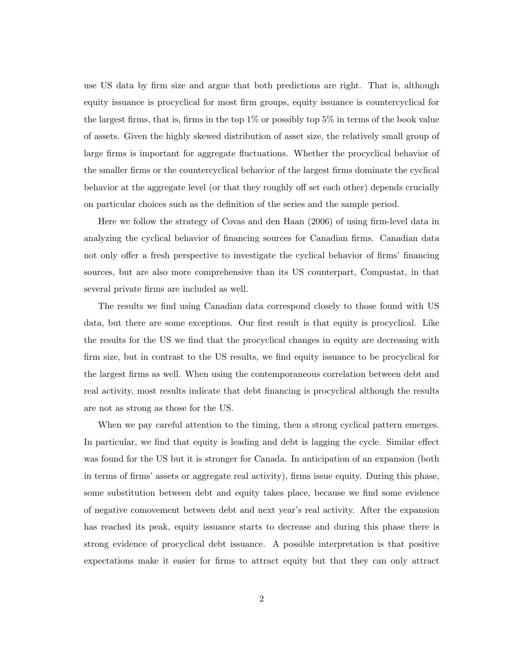use US data by firm size and argue that both predictions are right. That is, although equity issuance is procyclical for most firm groups, equity issuance is countercyclical for the largest firms, that is, firms in the top 1% or possibly top 5% in terms of the book value of assets. Given the highly skewed distribution of asset size, the relatively small group of large firms is important for aggregate fluctuations. Whether the procyclical behavior of the smaller firms or the countercyclical behavior of the largest firms dominate the cyclical behavior at the aggregate level (or that they roughly off set each other) depends crucially on particular choices such as the definition of the series and the sample period.

Here we follow the strategy of Covas and den Haan (2006) of using firm-level data in analyzing the cyclical behavior of financing sources for Canadian firms. Canadian data not only offer a fresh perspective to investigate the cyclical behavior of firms' financing sources, but are also more comprehensive than its US counterpart, Compustat, in that several private firms are included as well.

The results we find using Canadian data correspond closely to those found with US data, but there are some exceptions. Our first result is that equity is procyclical. Like the results for the US we find that the procyclical changes in equity are decreasing with firm size, but in contrast to the US results, we find equity issuance to be procyclical for the largest firms as well. When using the contemporaneous correlation between debt and real activity, most results indicate that debt financing is procyclical although the results are not as strong as those for the US.

When we pay careful attention to the timing, then a strong cyclical pattern emerges. In particular, we find that equity is leading and debt is lagging the cycle. Similar effect was found for the US but it is stronger for Canada. In anticipation of an expansion (both in terms of firms' assets or aggregate real activity), firms issue equity. During this phase, some substitution between debt and equity takes place, because we find some evidence of negative comovement between debt and next year's real activity. After the expansion has reached its peak, equity issuance starts to decrease and during this phase there is strong evidence of procyclical debt issuance. A possible interpretation is that positive expectations make it easier for firms to attract equity but that they can only attract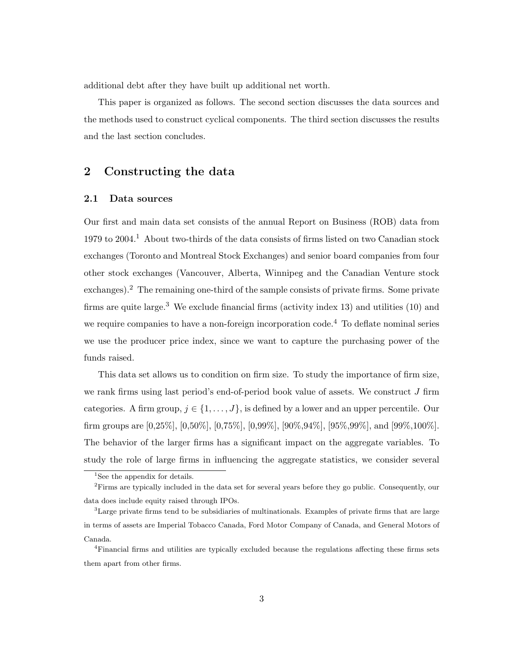additional debt after they have built up additional net worth.

This paper is organized as follows. The second section discusses the data sources and the methods used to construct cyclical components. The third section discusses the results and the last section concludes.

## 2 Constructing the data

#### 2.1 Data sources

Our first and main data set consists of the annual Report on Business (ROB) data from 1979 to 2004.<sup>1</sup> About two-thirds of the data consists of firms listed on two Canadian stock exchanges (Toronto and Montreal Stock Exchanges) and senior board companies from four other stock exchanges (Vancouver, Alberta, Winnipeg and the Canadian Venture stock exchanges).<sup>2</sup> The remaining one-third of the sample consists of private firms. Some private firms are quite large.<sup>3</sup> We exclude financial firms (activity index 13) and utilities  $(10)$  and we require companies to have a non-foreign incorporation code.<sup>4</sup> To deflate nominal series we use the producer price index, since we want to capture the purchasing power of the funds raised.

This data set allows us to condition on firm size. To study the importance of firm size, we rank firms using last period's end-of-period book value of assets. We construct  $J$  firm categories. A firm group,  $j \in \{1, \ldots, J\}$ , is defined by a lower and an upper percentile. Our firm groups are [0,25%], [0,50%], [0,75%], [0,99%], [90%,94%], [95%,99%], and [99%,100%]. The behavior of the larger firms has a significant impact on the aggregate variables. To study the role of large firms in influencing the aggregate statistics, we consider several

<sup>&</sup>lt;sup>1</sup>See the appendix for details.

<sup>2</sup>Firms are typically included in the data set for several years before they go public. Consequently, our data does include equity raised through IPOs.

<sup>3</sup>Large private firms tend to be subsidiaries of multinationals. Examples of private firms that are large in terms of assets are Imperial Tobacco Canada, Ford Motor Company of Canada, and General Motors of Canada.

<sup>4</sup>Financial firms and utilities are typically excluded because the regulations affecting these firms sets them apart from other firms.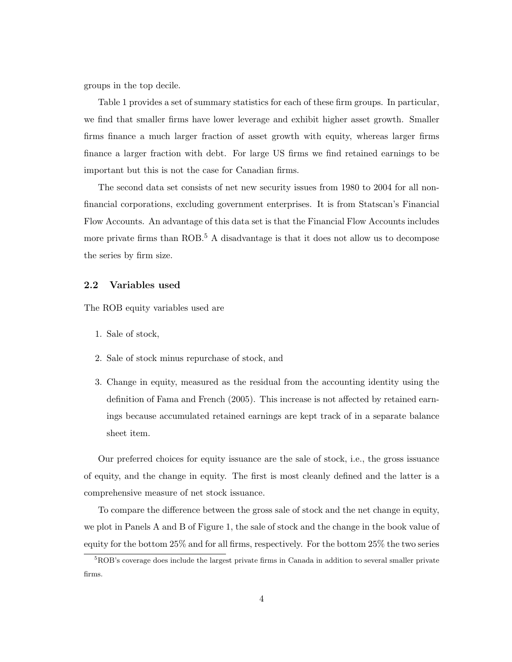groups in the top decile.

Table 1 provides a set of summary statistics for each of these firm groups. In particular, we find that smaller firms have lower leverage and exhibit higher asset growth. Smaller firms finance a much larger fraction of asset growth with equity, whereas larger firms finance a larger fraction with debt. For large US firms we find retained earnings to be important but this is not the case for Canadian firms.

The second data set consists of net new security issues from 1980 to 2004 for all nonfinancial corporations, excluding government enterprises. It is from Statscan's Financial Flow Accounts. An advantage of this data set is that the Financial Flow Accounts includes more private firms than  $ROB<sup>5</sup>$  A disadvantage is that it does not allow us to decompose the series by firm size.

#### 2.2 Variables used

The ROB equity variables used are

- 1. Sale of stock,
- 2. Sale of stock minus repurchase of stock, and
- 3. Change in equity, measured as the residual from the accounting identity using the definition of Fama and French (2005). This increase is not affected by retained earnings because accumulated retained earnings are kept track of in a separate balance sheet item.

Our preferred choices for equity issuance are the sale of stock, i.e., the gross issuance of equity, and the change in equity. The first is most cleanly defined and the latter is a comprehensive measure of net stock issuance.

To compare the difference between the gross sale of stock and the net change in equity, we plot in Panels A and B of Figure 1, the sale of stock and the change in the book value of equity for the bottom 25% and for all firms, respectively. For the bottom 25% the two series

<sup>5</sup>ROB's coverage does include the largest private firms in Canada in addition to several smaller private firms.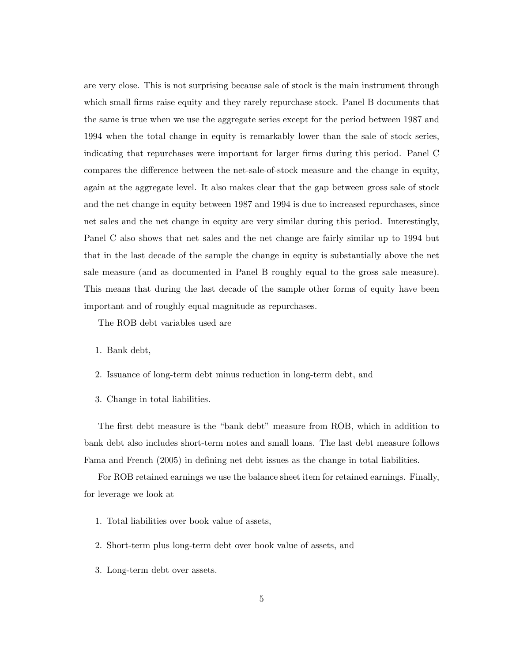are very close. This is not surprising because sale of stock is the main instrument through which small firms raise equity and they rarely repurchase stock. Panel B documents that the same is true when we use the aggregate series except for the period between 1987 and 1994 when the total change in equity is remarkably lower than the sale of stock series, indicating that repurchases were important for larger firms during this period. Panel C compares the difference between the net-sale-of-stock measure and the change in equity, again at the aggregate level. It also makes clear that the gap between gross sale of stock and the net change in equity between 1987 and 1994 is due to increased repurchases, since net sales and the net change in equity are very similar during this period. Interestingly, Panel C also shows that net sales and the net change are fairly similar up to 1994 but that in the last decade of the sample the change in equity is substantially above the net sale measure (and as documented in Panel B roughly equal to the gross sale measure). This means that during the last decade of the sample other forms of equity have been important and of roughly equal magnitude as repurchases.

The ROB debt variables used are

- 1. Bank debt,
- 2. Issuance of long-term debt minus reduction in long-term debt, and
- 3. Change in total liabilities.

The first debt measure is the "bank debt" measure from ROB, which in addition to bank debt also includes short-term notes and small loans. The last debt measure follows Fama and French (2005) in defining net debt issues as the change in total liabilities.

For ROB retained earnings we use the balance sheet item for retained earnings. Finally, for leverage we look at

- 1. Total liabilities over book value of assets,
- 2. Short-term plus long-term debt over book value of assets, and
- 3. Long-term debt over assets.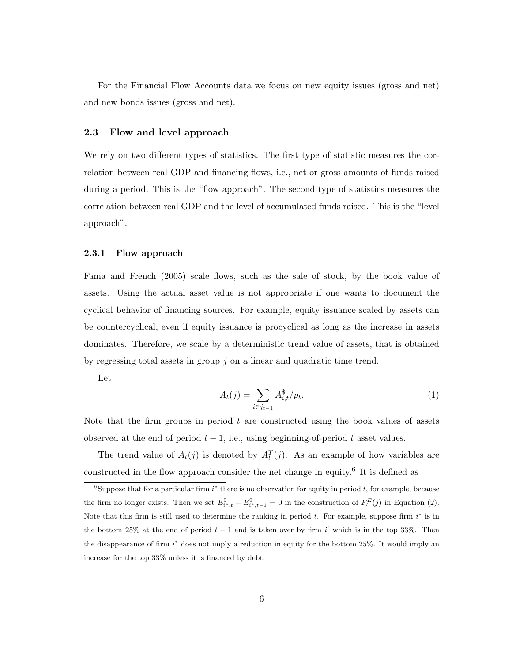For the Financial Flow Accounts data we focus on new equity issues (gross and net) and new bonds issues (gross and net).

#### 2.3 Flow and level approach

We rely on two different types of statistics. The first type of statistic measures the correlation between real GDP and financing flows, i.e., net or gross amounts of funds raised during a period. This is the "flow approach". The second type of statistics measures the correlation between real GDP and the level of accumulated funds raised. This is the "level approach".

#### 2.3.1 Flow approach

Fama and French (2005) scale flows, such as the sale of stock, by the book value of assets. Using the actual asset value is not appropriate if one wants to document the cyclical behavior of financing sources. For example, equity issuance scaled by assets can be countercyclical, even if equity issuance is procyclical as long as the increase in assets dominates. Therefore, we scale by a deterministic trend value of assets, that is obtained by regressing total assets in group  $j$  on a linear and quadratic time trend.

Let

$$
A_t(j) = \sum_{i \in j_{t-1}} A_{i,t}^{\$} / p_t.
$$
 (1)

Note that the firm groups in period  $t$  are constructed using the book values of assets observed at the end of period  $t - 1$ , i.e., using beginning-of-period t asset values.

The trend value of  $A_t(j)$  is denoted by  $A_t^T(j)$ . As an example of how variables are constructed in the flow approach consider the net change in equity.<sup>6</sup> It is defined as

<sup>&</sup>lt;sup>6</sup>Suppose that for a particular firm  $i^*$  there is no observation for equity in period t, for example, because the firm no longer exists. Then we set  $E_{i^*,t}^{\$} - E_{i^*,t-1}^{\$} = 0$  in the construction of  $F_t^E(j)$  in Equation (2). Note that this firm is still used to determine the ranking in period  $t$ . For example, suppose firm  $i^*$  is in the bottom 25% at the end of period  $t-1$  and is taken over by firm i' which is in the top 33%. Then the disappearance of firm i<sup>\*</sup> does not imply a reduction in equity for the bottom 25%. It would imply an increase for the top 33% unless it is financed by debt.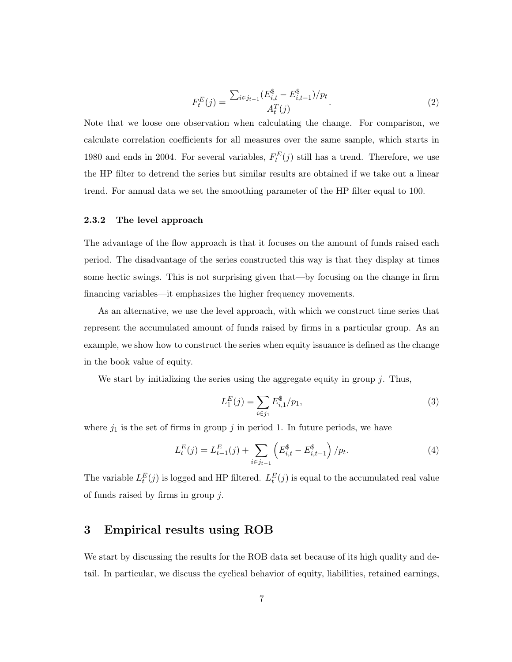$$
F_t^E(j) = \frac{\sum_{i \in j_{t-1}} (E_{i,t}^{\$} - E_{i,t-1}^{\$})/p_t}{A_t^T(j)}.
$$
\n(2)

Note that we loose one observation when calculating the change. For comparison, we calculate correlation coefficients for all measures over the same sample, which starts in 1980 and ends in 2004. For several variables,  $F_t^E(j)$  still has a trend. Therefore, we use the HP filter to detrend the series but similar results are obtained if we take out a linear trend. For annual data we set the smoothing parameter of the HP filter equal to 100.

#### 2.3.2 The level approach

The advantage of the flow approach is that it focuses on the amount of funds raised each period. The disadvantage of the series constructed this way is that they display at times some hectic swings. This is not surprising given that—by focusing on the change in firm financing variables—it emphasizes the higher frequency movements.

As an alternative, we use the level approach, with which we construct time series that represent the accumulated amount of funds raised by firms in a particular group. As an example, we show how to construct the series when equity issuance is defined as the change in the book value of equity.

We start by initializing the series using the aggregate equity in group  $i$ . Thus,

$$
L_1^E(j) = \sum_{i \in j_1} E_{i,1}^{\$} / p_1,\tag{3}
$$

where  $j_1$  is the set of firms in group  $j$  in period 1. In future periods, we have

$$
L_t^E(j) = L_{t-1}^E(j) + \sum_{i \in j_{t-1}} \left( E_{i,t}^{\$} - E_{i,t-1}^{\$} \right) / p_t.
$$
 (4)

The variable  $L_t^E(j)$  is logged and HP filtered.  $L_t^E(j)$  is equal to the accumulated real value of funds raised by firms in group j.

### 3 Empirical results using ROB

We start by discussing the results for the ROB data set because of its high quality and detail. In particular, we discuss the cyclical behavior of equity, liabilities, retained earnings,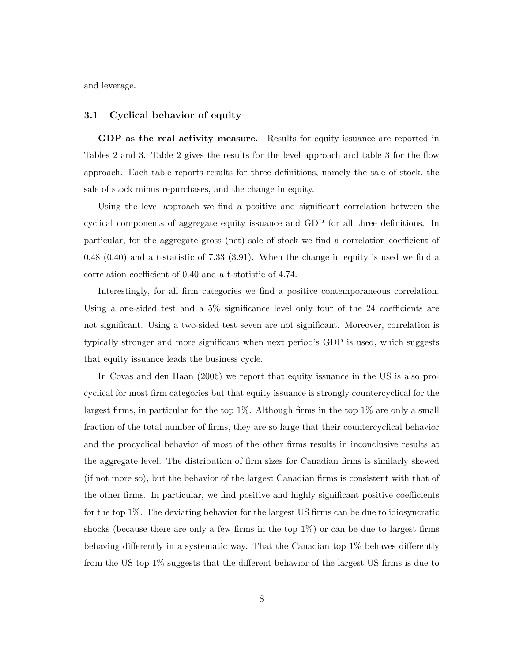and leverage.

#### 3.1 Cyclical behavior of equity

GDP as the real activity measure. Results for equity issuance are reported in Tables 2 and 3. Table 2 gives the results for the level approach and table 3 for the flow approach. Each table reports results for three definitions, namely the sale of stock, the sale of stock minus repurchases, and the change in equity.

Using the level approach we find a positive and significant correlation between the cyclical components of aggregate equity issuance and GDP for all three definitions. In particular, for the aggregate gross (net) sale of stock we find a correlation coefficient of 0.48 (0.40) and a t-statistic of 7.33 (3.91). When the change in equity is used we find a correlation coefficient of 0.40 and a t-statistic of 4.74.

Interestingly, for all firm categories we find a positive contemporaneous correlation. Using a one-sided test and a 5% significance level only four of the 24 coefficients are not significant. Using a two-sided test seven are not significant. Moreover, correlation is typically stronger and more significant when next period's GDP is used, which suggests that equity issuance leads the business cycle.

In Covas and den Haan (2006) we report that equity issuance in the US is also procyclical for most firm categories but that equity issuance is strongly countercyclical for the largest firms, in particular for the top 1%. Although firms in the top 1% are only a small fraction of the total number of firms, they are so large that their countercyclical behavior and the procyclical behavior of most of the other firms results in inconclusive results at the aggregate level. The distribution of firm sizes for Canadian firms is similarly skewed (if not more so), but the behavior of the largest Canadian firms is consistent with that of the other firms. In particular, we find positive and highly significant positive coefficients for the top 1%. The deviating behavior for the largest US firms can be due to idiosyncratic shocks (because there are only a few firms in the top  $1\%$ ) or can be due to largest firms behaving differently in a systematic way. That the Canadian top 1% behaves differently from the US top 1% suggests that the different behavior of the largest US firms is due to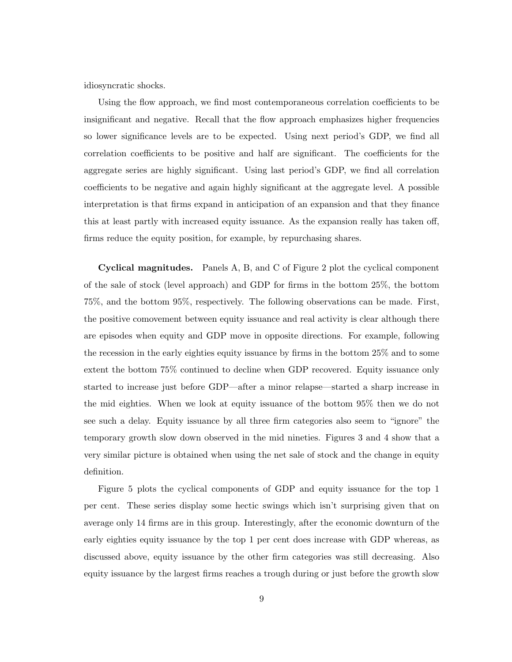idiosyncratic shocks.

Using the flow approach, we find most contemporaneous correlation coefficients to be insignificant and negative. Recall that the flow approach emphasizes higher frequencies so lower significance levels are to be expected. Using next period's GDP, we find all correlation coefficients to be positive and half are significant. The coefficients for the aggregate series are highly significant. Using last period's GDP, we find all correlation coefficients to be negative and again highly significant at the aggregate level. A possible interpretation is that firms expand in anticipation of an expansion and that they finance this at least partly with increased equity issuance. As the expansion really has taken off, firms reduce the equity position, for example, by repurchasing shares.

Cyclical magnitudes. Panels A, B, and C of Figure 2 plot the cyclical component of the sale of stock (level approach) and GDP for firms in the bottom 25%, the bottom 75%, and the bottom 95%, respectively. The following observations can be made. First, the positive comovement between equity issuance and real activity is clear although there are episodes when equity and GDP move in opposite directions. For example, following the recession in the early eighties equity issuance by firms in the bottom 25% and to some extent the bottom 75% continued to decline when GDP recovered. Equity issuance only started to increase just before GDP—after a minor relapse—started a sharp increase in the mid eighties. When we look at equity issuance of the bottom 95% then we do not see such a delay. Equity issuance by all three firm categories also seem to "ignore" the temporary growth slow down observed in the mid nineties. Figures 3 and 4 show that a very similar picture is obtained when using the net sale of stock and the change in equity definition.

Figure 5 plots the cyclical components of GDP and equity issuance for the top 1 per cent. These series display some hectic swings which isn't surprising given that on average only 14 firms are in this group. Interestingly, after the economic downturn of the early eighties equity issuance by the top 1 per cent does increase with GDP whereas, as discussed above, equity issuance by the other firm categories was still decreasing. Also equity issuance by the largest firms reaches a trough during or just before the growth slow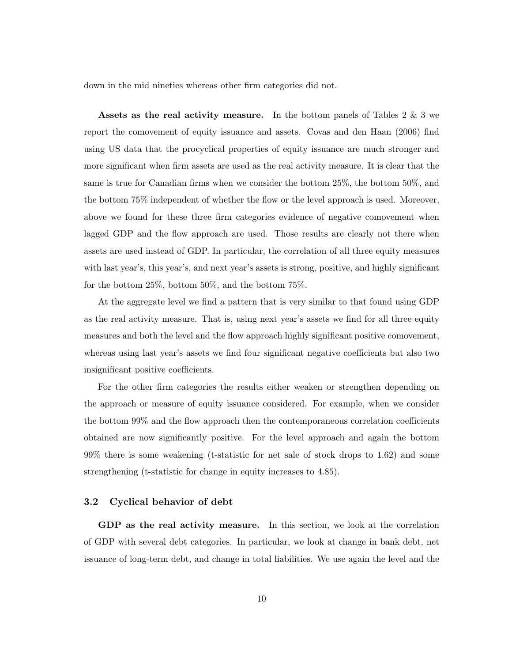down in the mid nineties whereas other firm categories did not.

Assets as the real activity measure. In the bottom panels of Tables  $2 \& 3$  we report the comovement of equity issuance and assets. Covas and den Haan (2006) find using US data that the procyclical properties of equity issuance are much stronger and more significant when firm assets are used as the real activity measure. It is clear that the same is true for Canadian firms when we consider the bottom 25%, the bottom 50%, and the bottom 75% independent of whether the flow or the level approach is used. Moreover, above we found for these three firm categories evidence of negative comovement when lagged GDP and the flow approach are used. Those results are clearly not there when assets are used instead of GDP. In particular, the correlation of all three equity measures with last year's, this year's, and next year's assets is strong, positive, and highly significant for the bottom 25%, bottom 50%, and the bottom 75%.

At the aggregate level we find a pattern that is very similar to that found using GDP as the real activity measure. That is, using next year's assets we find for all three equity measures and both the level and the flow approach highly significant positive comovement, whereas using last year's assets we find four significant negative coefficients but also two insignificant positive coefficients.

For the other firm categories the results either weaken or strengthen depending on the approach or measure of equity issuance considered. For example, when we consider the bottom 99% and the flow approach then the contemporaneous correlation coefficients obtained are now significantly positive. For the level approach and again the bottom 99% there is some weakening (t-statistic for net sale of stock drops to 1.62) and some strengthening (t-statistic for change in equity increases to 4.85).

#### 3.2 Cyclical behavior of debt

GDP as the real activity measure. In this section, we look at the correlation of GDP with several debt categories. In particular, we look at change in bank debt, net issuance of long-term debt, and change in total liabilities. We use again the level and the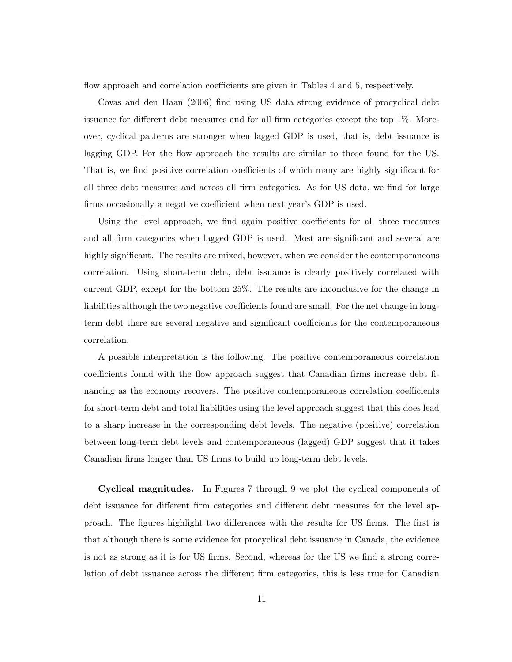flow approach and correlation coefficients are given in Tables 4 and 5, respectively.

Covas and den Haan (2006) find using US data strong evidence of procyclical debt issuance for different debt measures and for all firm categories except the top 1%. Moreover, cyclical patterns are stronger when lagged GDP is used, that is, debt issuance is lagging GDP. For the flow approach the results are similar to those found for the US. That is, we find positive correlation coefficients of which many are highly significant for all three debt measures and across all firm categories. As for US data, we find for large firms occasionally a negative coefficient when next year's GDP is used.

Using the level approach, we find again positive coefficients for all three measures and all firm categories when lagged GDP is used. Most are significant and several are highly significant. The results are mixed, however, when we consider the contemporaneous correlation. Using short-term debt, debt issuance is clearly positively correlated with current GDP, except for the bottom 25%. The results are inconclusive for the change in liabilities although the two negative coefficients found are small. For the net change in longterm debt there are several negative and significant coefficients for the contemporaneous correlation.

A possible interpretation is the following. The positive contemporaneous correlation coefficients found with the flow approach suggest that Canadian firms increase debt financing as the economy recovers. The positive contemporaneous correlation coefficients for short-term debt and total liabilities using the level approach suggest that this does lead to a sharp increase in the corresponding debt levels. The negative (positive) correlation between long-term debt levels and contemporaneous (lagged) GDP suggest that it takes Canadian firms longer than US firms to build up long-term debt levels.

Cyclical magnitudes. In Figures 7 through 9 we plot the cyclical components of debt issuance for different firm categories and different debt measures for the level approach. The figures highlight two differences with the results for US firms. The first is that although there is some evidence for procyclical debt issuance in Canada, the evidence is not as strong as it is for US firms. Second, whereas for the US we find a strong correlation of debt issuance across the different firm categories, this is less true for Canadian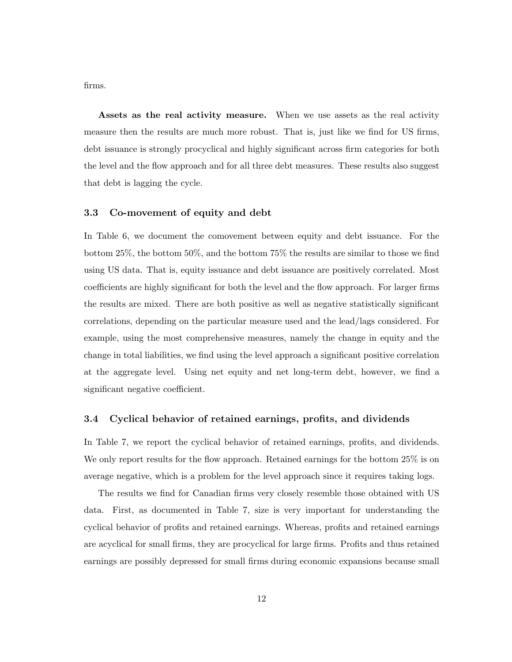firms.

Assets as the real activity measure. When we use assets as the real activity measure then the results are much more robust. That is, just like we find for US firms, debt issuance is strongly procyclical and highly significant across firm categories for both the level and the flow approach and for all three debt measures. These results also suggest that debt is lagging the cycle.

#### 3.3 Co-movement of equity and debt

In Table 6, we document the comovement between equity and debt issuance. For the bottom 25%, the bottom 50%, and the bottom 75% the results are similar to those we find using US data. That is, equity issuance and debt issuance are positively correlated. Most coefficients are highly significant for both the level and the flow approach. For larger firms the results are mixed. There are both positive as well as negative statistically significant correlations, depending on the particular measure used and the lead/lags considered. For example, using the most comprehensive measures, namely the change in equity and the change in total liabilities, we find using the level approach a significant positive correlation at the aggregate level. Using net equity and net long-term debt, however, we find a significant negative coefficient.

#### 3.4 Cyclical behavior of retained earnings, profits, and dividends

In Table 7, we report the cyclical behavior of retained earnings, profits, and dividends. We only report results for the flow approach. Retained earnings for the bottom 25% is on average negative, which is a problem for the level approach since it requires taking logs.

The results we find for Canadian firms very closely resemble those obtained with US data. First, as documented in Table 7, size is very important for understanding the cyclical behavior of profits and retained earnings. Whereas, profits and retained earnings are acyclical for small firms, they are procyclical for large firms. Profits and thus retained earnings are possibly depressed for small firms during economic expansions because small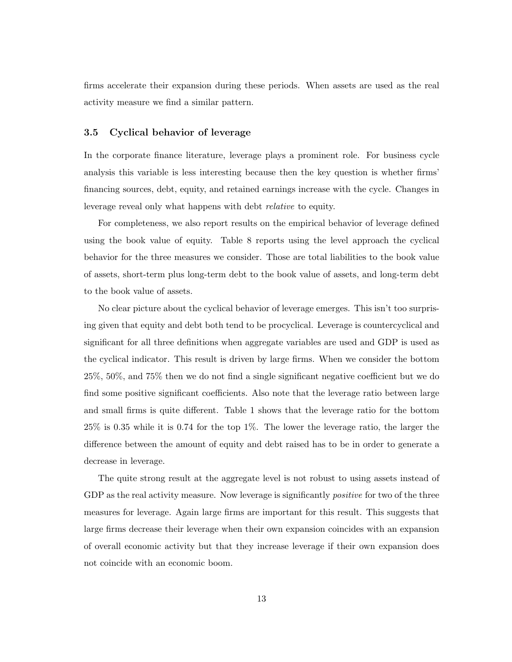firms accelerate their expansion during these periods. When assets are used as the real activity measure we find a similar pattern.

#### 3.5 Cyclical behavior of leverage

In the corporate finance literature, leverage plays a prominent role. For business cycle analysis this variable is less interesting because then the key question is whether firms' financing sources, debt, equity, and retained earnings increase with the cycle. Changes in leverage reveal only what happens with debt relative to equity.

For completeness, we also report results on the empirical behavior of leverage defined using the book value of equity. Table 8 reports using the level approach the cyclical behavior for the three measures we consider. Those are total liabilities to the book value of assets, short-term plus long-term debt to the book value of assets, and long-term debt to the book value of assets.

No clear picture about the cyclical behavior of leverage emerges. This isn't too surprising given that equity and debt both tend to be procyclical. Leverage is countercyclical and significant for all three definitions when aggregate variables are used and GDP is used as the cyclical indicator. This result is driven by large firms. When we consider the bottom 25%, 50%, and 75% then we do not find a single significant negative coefficient but we do find some positive significant coefficients. Also note that the leverage ratio between large and small firms is quite different. Table 1 shows that the leverage ratio for the bottom 25% is 0.35 while it is 0.74 for the top 1%. The lower the leverage ratio, the larger the difference between the amount of equity and debt raised has to be in order to generate a decrease in leverage.

The quite strong result at the aggregate level is not robust to using assets instead of GDP as the real activity measure. Now leverage is significantly *positive* for two of the three measures for leverage. Again large firms are important for this result. This suggests that large firms decrease their leverage when their own expansion coincides with an expansion of overall economic activity but that they increase leverage if their own expansion does not coincide with an economic boom.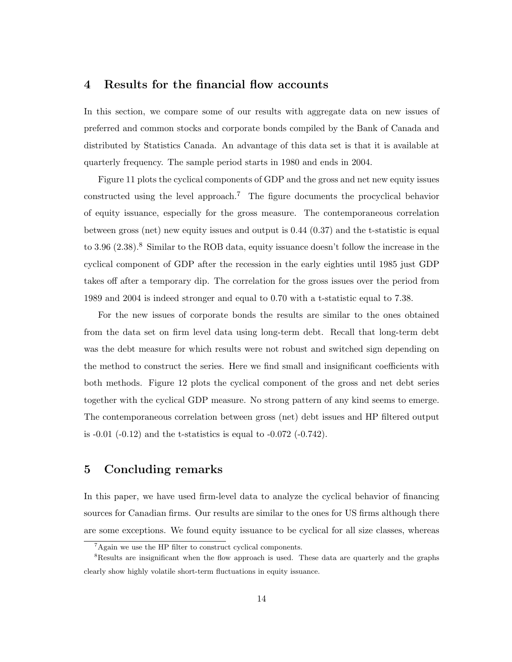#### 4 Results for the financial flow accounts

In this section, we compare some of our results with aggregate data on new issues of preferred and common stocks and corporate bonds compiled by the Bank of Canada and distributed by Statistics Canada. An advantage of this data set is that it is available at quarterly frequency. The sample period starts in 1980 and ends in 2004.

Figure 11 plots the cyclical components of GDP and the gross and net new equity issues constructed using the level approach.<sup>7</sup> The figure documents the procyclical behavior of equity issuance, especially for the gross measure. The contemporaneous correlation between gross (net) new equity issues and output is 0.44 (0.37) and the t-statistic is equal to 3.96  $(2.38)$ .<sup>8</sup> Similar to the ROB data, equity issuance doesn't follow the increase in the cyclical component of GDP after the recession in the early eighties until 1985 just GDP takes off after a temporary dip. The correlation for the gross issues over the period from 1989 and 2004 is indeed stronger and equal to 0.70 with a t-statistic equal to 7.38.

For the new issues of corporate bonds the results are similar to the ones obtained from the data set on firm level data using long-term debt. Recall that long-term debt was the debt measure for which results were not robust and switched sign depending on the method to construct the series. Here we find small and insignificant coefficients with both methods. Figure 12 plots the cyclical component of the gross and net debt series together with the cyclical GDP measure. No strong pattern of any kind seems to emerge. The contemporaneous correlation between gross (net) debt issues and HP filtered output is  $-0.01$  ( $-0.12$ ) and the t-statistics is equal to  $-0.072$  ( $-0.742$ ).

## 5 Concluding remarks

In this paper, we have used firm-level data to analyze the cyclical behavior of financing sources for Canadian firms. Our results are similar to the ones for US firms although there are some exceptions. We found equity issuance to be cyclical for all size classes, whereas

<sup>7</sup>Again we use the HP filter to construct cyclical components.

<sup>&</sup>lt;sup>8</sup>Results are insignificant when the flow approach is used. These data are quarterly and the graphs clearly show highly volatile short-term fluctuations in equity issuance.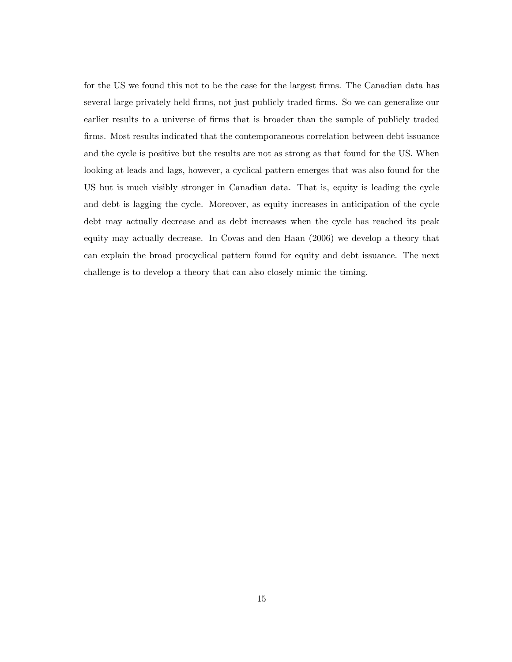for the US we found this not to be the case for the largest firms. The Canadian data has several large privately held firms, not just publicly traded firms. So we can generalize our earlier results to a universe of firms that is broader than the sample of publicly traded firms. Most results indicated that the contemporaneous correlation between debt issuance and the cycle is positive but the results are not as strong as that found for the US. When looking at leads and lags, however, a cyclical pattern emerges that was also found for the US but is much visibly stronger in Canadian data. That is, equity is leading the cycle and debt is lagging the cycle. Moreover, as equity increases in anticipation of the cycle debt may actually decrease and as debt increases when the cycle has reached its peak equity may actually decrease. In Covas and den Haan (2006) we develop a theory that can explain the broad procyclical pattern found for equity and debt issuance. The next challenge is to develop a theory that can also closely mimic the timing.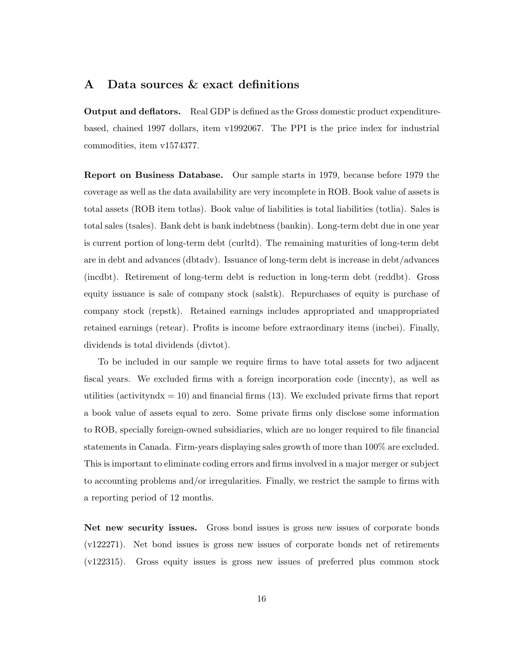#### A Data sources & exact definitions

Output and deflators. Real GDP is defined as the Gross domestic product expenditurebased, chained 1997 dollars, item v1992067. The PPI is the price index for industrial commodities, item v1574377.

Report on Business Database. Our sample starts in 1979, because before 1979 the coverage as well as the data availability are very incomplete in ROB. Book value of assets is total assets (ROB item totlas). Book value of liabilities is total liabilities (totlia). Sales is total sales (tsales). Bank debt is bank indebtness (bankin). Long-term debt due in one year is current portion of long-term debt (curltd). The remaining maturities of long-term debt are in debt and advances (dbtadv). Issuance of long-term debt is increase in debt/advances (incdbt). Retirement of long-term debt is reduction in long-term debt (reddbt). Gross equity issuance is sale of company stock (salstk). Repurchases of equity is purchase of company stock (repstk). Retained earnings includes appropriated and unappropriated retained earnings (retear). Profits is income before extraordinary items (incbei). Finally, dividends is total dividends (divtot).

To be included in our sample we require firms to have total assets for two adjacent fiscal years. We excluded firms with a foreign incorporation code (inccnty), as well as utilities (activityndx  $= 10$ ) and financial firms (13). We excluded private firms that report a book value of assets equal to zero. Some private firms only disclose some information to ROB, specially foreign-owned subsidiaries, which are no longer required to file financial statements in Canada. Firm-years displaying sales growth of more than 100% are excluded. This is important to eliminate coding errors and firms involved in a major merger or subject to accounting problems and/or irregularities. Finally, we restrict the sample to firms with a reporting period of 12 months.

Net new security issues. Gross bond issues is gross new issues of corporate bonds (v122271). Net bond issues is gross new issues of corporate bonds net of retirements (v122315). Gross equity issues is gross new issues of preferred plus common stock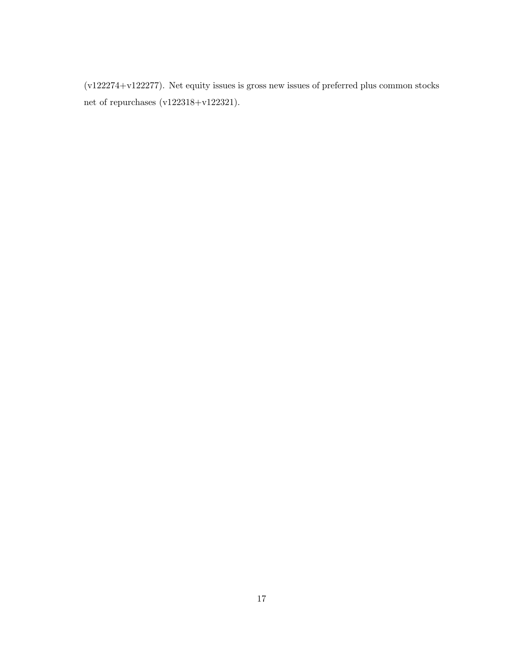(v122274+v122277). Net equity issues is gross new issues of preferred plus common stocks net of repurchases (v122318+v122321).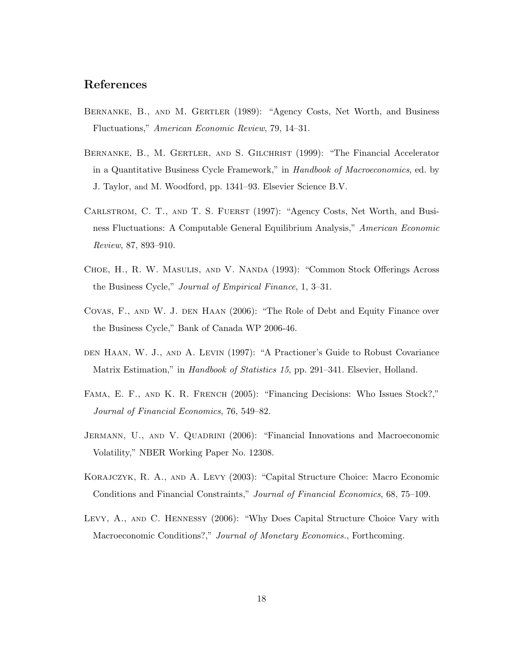## References

- Bernanke, B., and M. Gertler (1989): "Agency Costs, Net Worth, and Business Fluctuations," American Economic Review, 79, 14–31.
- Bernanke, B., M. Gertler, and S. Gilchrist (1999): "The Financial Accelerator in a Quantitative Business Cycle Framework," in Handbook of Macroeconomics, ed. by J. Taylor, and M. Woodford, pp. 1341–93. Elsevier Science B.V.
- Carlstrom, C. T., and T. S. Fuerst (1997): "Agency Costs, Net Worth, and Business Fluctuations: A Computable General Equilibrium Analysis," American Economic Review, 87, 893–910.
- Choe, H., R. W. Masulis, and V. Nanda (1993): "Common Stock Offerings Across the Business Cycle," Journal of Empirical Finance, 1, 3–31.
- Covas, F., and W. J. den Haan (2006): "The Role of Debt and Equity Finance over the Business Cycle," Bank of Canada WP 2006-46.
- den Haan, W. J., and A. Levin (1997): "A Practioner's Guide to Robust Covariance Matrix Estimation," in *Handbook of Statistics 15*, pp. 291–341. Elsevier, Holland.
- Fama, E. F., and K. R. French (2005): "Financing Decisions: Who Issues Stock?," Journal of Financial Economics, 76, 549–82.
- JERMANN, U., AND V. QUADRINI (2006): "Financial Innovations and Macroeconomic Volatility," NBER Working Paper No. 12308.
- Korajczyk, R. A., and A. Levy (2003): "Capital Structure Choice: Macro Economic Conditions and Financial Constraints," Journal of Financial Economics, 68, 75–109.
- Levy, A., and C. Hennessy (2006): "Why Does Capital Structure Choice Vary with Macroeconomic Conditions?," Journal of Monetary Economics., Forthcoming.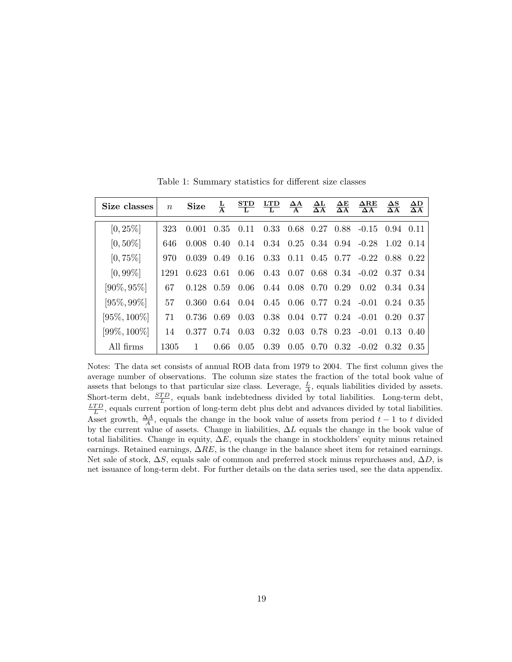| Size classes    | $\boldsymbol{n}$ | <b>Size</b>        |       | $L \over A$ $\overline{S}$ $\overline{L}$ $\overline{L}$ $\overline{L}$ |                             |      | $\frac{\Delta A}{A}$ $\frac{\Delta L}{\Delta A}$ $\frac{\Delta E}{\Delta A}$ | $\frac{\Delta \text{RE}}{\Delta \text{A}}$ $\frac{\Delta \text{S}}{\Delta \text{A}}$ |                   | $\frac{\Delta D}{\Delta A}$ |
|-----------------|------------------|--------------------|-------|-------------------------------------------------------------------------|-----------------------------|------|------------------------------------------------------------------------------|--------------------------------------------------------------------------------------|-------------------|-----------------------------|
| $[0, 25\%]$     | 323              | 0.001              | 0.35  | 0.11                                                                    |                             |      |                                                                              | $0.33$ $0.68$ $0.27$ $0.88$ $-0.15$ $0.94$ $0.11$                                    |                   |                             |
| $[0, 50\%]$     | 646              | $0.008$ $0.40$     |       | 0.14                                                                    |                             |      |                                                                              | $0.34$ $0.25$ $0.34$ $0.94$ $-0.28$ $1.02$ $0.14$                                    |                   |                             |
| $[0, 75\%]$     | 970              | 0.039              | 0.49  | 0.16                                                                    | 0.33                        |      |                                                                              | $0.11$ $0.45$ $0.77$ $-0.22$ $0.88$ $0.22$                                           |                   |                             |
| $[0, 99\%]$     | 1291             | 0.623 0.61         |       | 0.06                                                                    |                             |      |                                                                              | $0.43$ $0.07$ $0.68$ $0.34$ $-0.02$ $0.37$ $0.34$                                    |                   |                             |
| $[90\%, 95\%]$  | 67               | 0.128 0.59         |       | 0.06                                                                    | $0.44$ $0.08$ $0.70$ $0.29$ |      |                                                                              | 0.02                                                                                 | 0.34 0.34         |                             |
| $[95\%, 99\%]$  | 57               | $0.360 \quad 0.64$ |       | 0.04                                                                    |                             |      |                                                                              | $0.45$ $0.06$ $0.77$ $0.24$ $-0.01$ $0.24$ $0.35$                                    |                   |                             |
| $[95\%, 100\%]$ | 71               | 0.736              | -0.69 | 0.03                                                                    | 0.38                        |      |                                                                              | $0.04$ $0.77$ $0.24$ $-0.01$                                                         | 0.20 0.37         |                             |
| $[99\%, 100\%]$ | 14               | 0.377              | 0.74  | 0.03                                                                    | 0.32                        | 0.03 |                                                                              | $0.78$ $0.23$ $-0.01$                                                                | $0.13 \quad 0.40$ |                             |
| All firms       | 1305             |                    | 0.66  | 0.05                                                                    | 0.39                        | 0.05 | 0.70                                                                         | $0.32 -0.02$ $0.32$ $0.35$                                                           |                   |                             |

Table 1: Summary statistics for different size classes

Notes: The data set consists of annual ROB data from 1979 to 2004. The first column gives the average number of observations. The column size states the fraction of the total book value of assets that belongs to that particular size class. Leverage,  $\frac{L}{A}$ , equals liabilities divided by assets. Short-term debt,  $\frac{STD}{L}$ , equals bank indebtedness divided by total liabilities. Long-term debt,  $\frac{LTD}{L}$ , equals current portion of long-term debt plus debt and advances divided by total liabilities. Asset growth,  $\frac{\Delta A}{A}$ , equals the change in the book value of assets from period  $t-1$  to t divided by the current value of assets. Change in liabilities,  $\Delta L$  equals the change in the book value of total liabilities. Change in equity,  $\Delta E$ , equals the change in stockholders' equity minus retained earnings. Retained earnings,  $\Delta RE$ , is the change in the balance sheet item for retained earnings. Net sale of stock,  $\Delta S$ , equals sale of common and preferred stock minus repurchases and,  $\Delta D$ , is net issuance of long-term debt. For further details on the data series used, see the data appendix.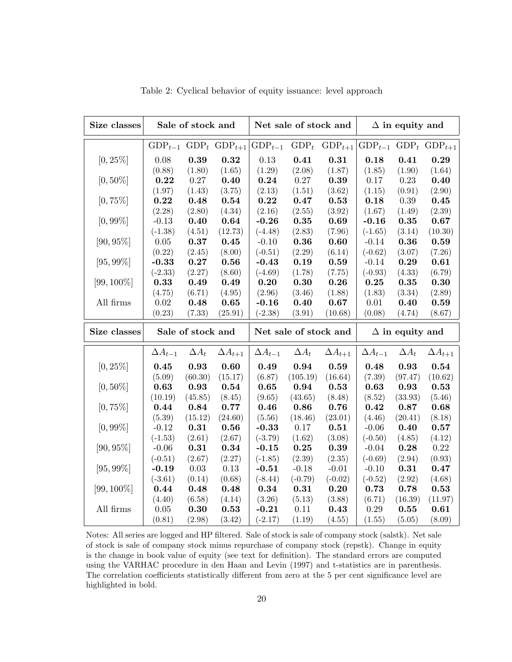| Size classes  |                  | Sale of stock and |                                 |                  | Net sale of stock and |                       |                  | $\Delta$ in equity and |                                 |  |
|---------------|------------------|-------------------|---------------------------------|------------------|-----------------------|-----------------------|------------------|------------------------|---------------------------------|--|
|               |                  |                   | $GDP_{t-1}$ $GDP_t$ $GDP_{t+1}$ | $GDP_{t-1}$      | $GDP_t$               | $GDP_{t+1}$           |                  |                        | $GDP_{t-1}$ $GDP_t$ $GDP_{t+1}$ |  |
| $[0, 25\%]$   | 0.08             | 0.39              | 0.32                            | $0.13\,$         | 0.41                  | 0.31                  | 0.18             | 0.41                   | 0.29                            |  |
|               | (0.88)           | (1.80)            | (1.65)                          | (1.29)           | (2.08)                | (1.87)                | (1.85)           | (1.90)                 | (1.64)                          |  |
| $[0, 50\%]$   | 0.22             | 0.27              | 0.40                            | 0.24             | $0.27\,$              | 0.39                  | 0.17             | 0.23                   | 0.40                            |  |
|               | (1.97)           | (1.43)            | (3.75)                          | (2.13)           | (1.51)                | (3.62)                | (1.15)           | (0.91)                 | (2.90)                          |  |
| $[0, 75\%]$   | 0.22             | 0.48              | 0.54                            | 0.22             | 0.47                  | 0.53                  | 0.18             | 0.39                   | 0.45                            |  |
|               | (2.28)           | (2.80)            | (4.34)                          | (2.16)           | (2.55)                | (3.92)                | (1.67)           | (1.49)                 | (2.39)                          |  |
| $[0, 99\%]$   | $-0.13$          | 0.40              | 0.64                            | $-0.26$          | $\bf 0.35$            | 0.69                  | $-0.16$          | $\bf 0.35$             | 0.67                            |  |
|               | $(-1.38)$        | (4.51)            | (12.73)                         | $(-4.48)$        | (2.83)                | (7.96)                | $(-1.65)$        | (3.14)                 | (10.30)                         |  |
| $[90, 95\%]$  | $0.05\,$         | 0.37              | 0.45                            | $-0.10$          | 0.36                  | 0.60                  | $-0.14$          | 0.36                   | 0.59                            |  |
|               | (0.22)           | (2.45)            | (8.00)                          | $(-0.51)$        | (2.29)                | (6.14)                | $(-0.62)$        | (3.07)                 | (7.26)                          |  |
| $[95, 99\%]$  | $-0.33$          | 0.27              | 0.56                            | $-0.43$          | 0.19                  | 0.59                  | $-0.14$          | 0.29                   | 0.61                            |  |
|               | $(-2.33)$        | (2.27)            | (8.60)                          | $(-4.69)$        | (1.78)                | (7.75)                | $(-0.93)$        | (4.33)                 | (6.79)                          |  |
| $[99, 100\%]$ | 0.33             | 0.49              | 0.49                            | 0.20             | 0.30                  | 0.26                  | 0.25             | $\bf 0.35$             | 0.30                            |  |
|               | (4.75)           | (6.71)            | (4.95)                          | (2.96)           | (3.46)                | (1.88)                | (1.83)           | (3.34)                 | (2.89)                          |  |
| All firms     | 0.02             | 0.48              | 0.65                            | $-0.16$          | 0.40                  | 0.67                  | 0.01             | 0.40                   | 0.59                            |  |
|               | (0.23)           | (7.33)            | (25.91)                         | $(-2.38)$        | (3.91)                | (10.68)               | (0.08)           | (4.74)                 | (8.67)                          |  |
| Size classes  |                  | Sale of stock and |                                 |                  |                       | Net sale of stock and |                  | $\Delta$ in equity and |                                 |  |
|               | $\Delta A_{t-1}$ | $\Delta A_t$      | $\Delta A_{t+1}$                | $\Delta A_{t-1}$ | $\Delta A_t$          | $\Delta A_{t+1}$      | $\Delta A_{t-1}$ | $\Delta A_t$           | $\Delta A_{t+1}$                |  |
| $[0, 25\%]$   | $\bf 0.45$       | 0.93              | 0.60                            | 0.49             | 0.94                  | 0.59                  | 0.48             | 0.93                   | 0.54                            |  |
|               | (5.09)           | (60.30)           | (15.17)                         | (6.87)           | (105.19)              | (16.64)               | (7.39)           | (97.47)                | (10.62)                         |  |
| $[0, 50\%]$   | 0.63             | 0.93              | 0.54                            | $\bf 0.65$       | 0.94                  | 0.53                  | 0.63             | 0.93                   | 0.53                            |  |
|               | (10.19)          | (45.85)           | (8.45)                          | (9.65)           | (43.65)               | (8.48)                | (8.52)           | (33.93)                | (5.46)                          |  |
| $[0, 75\%]$   | 0.44             | 0.84              | 0.77                            | 0.46             | 0.86                  | 0.76                  | 0.42             | 0.87                   | 0.68                            |  |
|               | (5.39)           | (15.12)           | (24.60)                         | (5.56)           | (18.46)               | (23.01)               | (4.46)           | (20.41)                | (8.18)                          |  |
| $[0, 99\%]$   | $-0.12$          | 0.31              | 0.56                            | $-0.33$          | 0.17                  | 0.51                  | $-0.06$          | 0.40                   | 0.57                            |  |
|               | $(-1.53)$        | (2.61)            | (2.67)                          | $(-3.79)$        | (1.62)                | (3.08)                | $(-0.50)$        | (4.85)                 | (4.12)                          |  |
| $[90, 95\%]$  | $-0.06$          | 0.31              | 0.34                            | $-0.15$          | $\bf 0.25$            | 0.39                  | $-0.04$          | 0.28                   | 0.22                            |  |
|               | $(-0.51)$        | (2.67)            | (2.27)                          | $(-1.85)$        | (2.39)                | (2.35)                | $(-0.69)$        | (2.94)                 | (0.93)                          |  |
| $[95, 99\%]$  | $-0.19$          | 0.03              | 0.13                            | $-0.51$          | $-0.18$               | $-0.01$               | $-0.10$          | 0.31                   | 0.47                            |  |
|               | $(-3.61)$        | (0.14)            | (0.68)                          | $(-8.44)$        | $(-0.79)$             | $(-0.02)$             | $(-0.52)$        | (2.92)                 | (4.68)                          |  |
| $[99, 100\%]$ | 0.44             | 0.48              | 0.48                            | 0.34             | 0.31                  | 0.20                  | 0.73             | 0.78                   | 0.53                            |  |
|               | (4.40)           | (6.58)            | (4.14)                          | (3.26)           | (5.13)                | (3.88)                | (6.71)           | (16.39)                | (11.97)                         |  |
| All firms     | 0.05             | 0.30              | 0.53                            | $-0.21$          | 0.11                  | 0.43                  | 0.29             | 0.55                   | 0.61                            |  |
|               | (0.81)           | (2.98)            | (3.42)                          | $(-2.17)$        | (1.19)                | (4.55)                | (1.55)           | (5.05)                 | (8.09)                          |  |

Table 2: Cyclical behavior of equity issuance: level approach

Notes: All series are logged and HP filtered. Sale of stock is sale of company stock (salstk). Net sale of stock is sale of company stock minus repurchase of company stock (repstk). Change in equity is the change in book value of equity (see text for definition). The standard errors are computed using the VARHAC procedure in den Haan and Levin (1997) and t-statistics are in parenthesis. The correlation coefficients statistically different from zero at the 5 per cent significance level are highlighted in bold.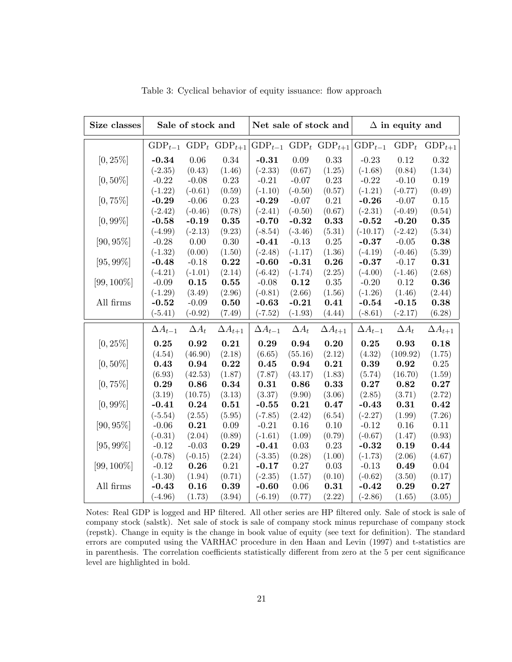| Size classes  |                  | Sale of stock and |                                 |                  | Net sale of stock and |                                 |                  | $\Delta$ in equity and |                  |  |
|---------------|------------------|-------------------|---------------------------------|------------------|-----------------------|---------------------------------|------------------|------------------------|------------------|--|
|               |                  |                   | $GDP_{t-1}$ $GDP_t$ $GDP_{t+1}$ |                  |                       | $GDP_{t-1}$ $GDP_t$ $GDP_{t+1}$ | $GDP_{t-1}$      | $GDP_t$                | $GDP_{t+1}$      |  |
| $[0, 25\%]$   | $-0.34$          | $0.06\,$          | 0.34                            | $-0.31$          | 0.09                  | 0.33                            | $-0.23$          | 0.12                   | 0.32             |  |
|               | $(-2.35)$        | (0.43)            | (1.46)                          | $(-2.33)$        | (0.67)                | (1.25)                          | $(-1.68)$        | (0.84)                 | (1.34)           |  |
| $[0, 50\%]$   | $-0.22$          | $-0.08$           | 0.23                            | $-0.21$          | $-0.07$               | 0.23                            | $-0.22$          | $-0.10$                | 0.19             |  |
|               | $(-1.22)$        | $(-0.61)$         | (0.59)                          | $(-1.10)$        | $(-0.50)$             | (0.57)                          | $(-1.21)$        | $(-0.77)$              | (0.49)           |  |
| $[0, 75\%]$   | $-0.29$          | $-0.06$           | 0.23                            | $-0.29$          | $-0.07$               | 0.21                            | $-0.26$          | $-0.07$                | 0.15             |  |
|               | $(-2.42)$        | $(-0.46)$         | (0.78)                          | $(-2.41)$        | $(-0.50)$             | (0.67)                          | $(-2.31)$        | $(-0.49)$              | (0.54)           |  |
| $[0, 99\%]$   | $-0.58$          | $-0.19$           | 0.35                            | $-0.70$          | $-0.32$               | 0.33                            | $-0.52$          | $-0.20$                | 0.35             |  |
|               | $(-4.99)$        | $(-2.13)$         | (9.23)                          | $(-8.54)$        | $(-3.46)$             | (5.31)                          | $(-10.17)$       | $(-2.42)$              | (5.34)           |  |
| $[90, 95\%]$  | $-0.28$          | 0.00              | $0.30\,$                        | $-0.41$          | $-0.13$               | 0.25                            | $-0.37$          | $-0.05$                | 0.38             |  |
|               | $(-1.32)$        | (0.00)            | (1.50)                          | $(-2.48)$        | $(-1.17)$             | (1.36)                          | $(-4.19)$        | $(-0.46)$              | (5.39)           |  |
| $[95, 99\%]$  | $-0.48$          | $-0.18$           | 0.22                            | $-0.60$          | $-0.31$               | 0.26                            | $-0.37$          | $-0.17$                | 0.31             |  |
|               | $(-4.21)$        | $(-1.01)$         | (2.14)                          | $(-6.42)$        | $(-1.74)$             | (2.25)                          | $(-4.00)$        | $(-1.46)$              | (2.68)           |  |
| $[99, 100\%]$ | $-0.09$          | 0.15              | 0.55                            | $-0.08$          | 0.12                  | $0.35\,$                        | $-0.20$          | 0.12                   | 0.36             |  |
|               | $(-1.29)$        | (3.49)            | (2.96)                          | $(-0.81)$        | (2.66)                | (1.56)                          | $(-1.26)$        | (1.46)                 | (2.44)           |  |
| All firms     | $-0.52$          | $-0.09$           | 0.50                            | $-0.63$          | $-0.21$               | 0.41                            | $-0.54$          | $-0.15$                | 0.38             |  |
|               | $(-5.41)$        | $(-0.92)$         | (7.49)                          | $(-7.52)$        | $(-1.93)$             | (4.44)                          | $(-8.61)$        | $(-2.17)$              | (6.28)           |  |
|               | $\Delta A_{t-1}$ | $\Delta A_t$      | $\Delta A_{t+1}$                | $\Delta A_{t-1}$ | $\Delta A_t$          | $\Delta A_{t+1}$                | $\Delta A_{t-1}$ | $\Delta A_t$           | $\Delta A_{t+1}$ |  |
| $[0, 25\%]$   | 0.25             | 0.92              | 0.21                            | 0.29             | 0.94                  | 0.20                            | 0.25             | 0.93                   | 0.18             |  |
|               | (4.54)           | (46.90)           | (2.18)                          | (6.65)           | (55.16)               | (2.12)                          | (4.32)           | (109.92)               | (1.75)           |  |
| $[0, 50\%]$   | 0.43             | 0.94              | 0.22                            | 0.45             | 0.94                  | 0.21                            | 0.39             | 0.92                   | 0.25             |  |
|               | (6.93)           | (42.53)           | (1.87)                          | (7.87)           | (43.17)               | (1.83)                          | (5.74)           | (16.70)                | (1.59)           |  |
| $[0, 75\%]$   | 0.29             | 0.86              | 0.34                            | 0.31             | 0.86                  | 0.33                            | 0.27             | 0.82                   | 0.27             |  |
|               | (3.19)           | (10.75)           | (3.13)                          | (3.37)           | (9.90)                | (3.06)                          | (2.85)           | (3.71)                 | (2.72)           |  |
| $[0, 99\%]$   | $-0.41$          | 0.24              | 0.51                            | $-0.55$          | 0.21                  | 0.47                            | $-0.43$          | 0.31                   | 0.42             |  |
|               | $(-5.54)$        | (2.55)            | (5.95)                          | $(-7.85)$        | (2.42)                | (6.54)                          | $(-2.27)$        | (1.99)                 | (7.26)           |  |
| $[90, 95\%]$  | $-0.06$          | 0.21              | 0.09                            | $-0.21$          | 0.16                  | 0.10                            | $-0.12$          | 0.16                   | 0.11             |  |
|               | $(-0.31)$        | (2.04)            | (0.89)                          | $(-1.61)$        | (1.09)                | (0.79)                          | $(-0.67)$        | (1.47)                 | (0.93)           |  |
| $[95, 99\%]$  | $-0.12$          | $-0.03$           | 0.29                            | $-0.41$          | 0.03                  | 0.23                            | $-0.32$          | 0.19                   | 0.44             |  |
|               | $(-0.78)$        | $(-0.15)$         | (2.24)                          | $(-3.35)$        | (0.28)                | (1.00)                          | $(-1.73)$        | (2.06)                 | (4.67)           |  |
| $[99, 100\%]$ | $-0.12$          | 0.26              | 0.21                            | $-0.17$          | 0.27                  | 0.03                            | $-0.13$          | 0.49                   | 0.04             |  |
|               | $(-1.30)$        | (1.94)            | (0.71)                          | $(-2.35)$        | (1.57)                | (0.10)                          | $(-0.62)$        | (3.50)                 | (0.17)           |  |
| All firms     | $-0.43$          | 0.16              | 0.39                            | $-0.60$          | 0.06                  | 0.31                            | $-0.42$          | 0.29                   | 0.27             |  |
|               | $(-4.96)$        | (1.73)            | (3.94)                          | $(-6.19)$        | (0.77)                | (2.22)                          | $(-2.86)$        | (1.65)                 | (3.05)           |  |

Table 3: Cyclical behavior of equity issuance: flow approach

Notes: Real GDP is logged and HP filtered. All other series are HP filtered only. Sale of stock is sale of company stock (salstk). Net sale of stock is sale of company stock minus repurchase of company stock (repstk). Change in equity is the change in book value of equity (see text for definition). The standard errors are computed using the VARHAC procedure in den Haan and Levin (1997) and t-statistics are in parenthesis. The correlation coefficients statistically different from zero at the 5 per cent significance level are highlighted in bold.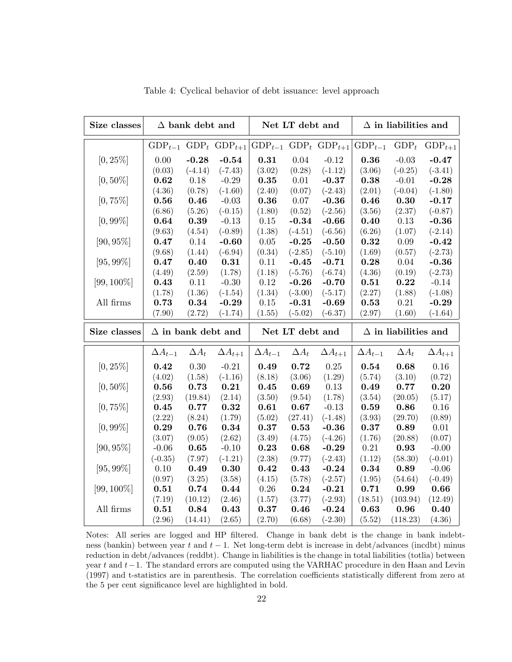| Size classes  |                           | $\Delta$ bank debt and |                                 |                  | Net LT debt and |                                 |                  | $\Delta$ in liabilities and |                  |  |
|---------------|---------------------------|------------------------|---------------------------------|------------------|-----------------|---------------------------------|------------------|-----------------------------|------------------|--|
|               |                           |                        | $GDP_{t-1}$ $GDP_t$ $GDP_{t+1}$ |                  |                 | $GDP_{t-1}$ $GDP_t$ $GDP_{t+1}$ | $GDP_{t-1}$      | $GDP_t$                     | $GDP_{t+1}$      |  |
| $[0, 25\%]$   | 0.00                      | $-0.28$                | $-0.54$                         | 0.31             | 0.04            | $-0.12$                         | 0.36             | $-0.03$                     | $-0.47$          |  |
|               | (0.03)                    | $(-4.14)$              | $(-7.43)$                       | (3.02)           | (0.28)          | $(-1.12)$                       | (3.06)           | $(-0.25)$                   | $(-3.41)$        |  |
| $[0, 50\%]$   | 0.62                      | 0.18                   | $-0.29$                         | 0.35             | 0.01            | $-0.37$                         | 0.38             | $-0.01$                     | $-0.28$          |  |
|               | (4.36)                    | (0.78)                 | $(-1.60)$                       | (2.40)           | (0.07)          | $(-2.43)$                       | (2.01)           | $(-0.04)$                   | $(-1.80)$        |  |
| $[0, 75\%]$   | 0.56                      | $\bf 0.46$             | $-0.03$                         | 0.36             | 0.07            | $-0.36$                         | $\bf 0.46$       | $\boldsymbol{0.30}$         | $-0.17$          |  |
|               | (6.86)                    | (5.26)                 | $(-0.15)$                       | (1.80)           | (0.52)          | $(-2.56)$                       | (3.56)           | (2.37)                      | $(-0.87)$        |  |
| $[0, 99\%]$   | 0.64                      | 0.39                   | $-0.13$                         | $0.15\,$         | $-0.34$         | $-0.66$                         | 0.40             | 0.13                        | $-0.36$          |  |
|               | (9.63)                    | (4.54)                 | $(-0.89)$                       | (1.38)           | $(-4.51)$       | $(-6.56)$                       | (6.26)           | (1.07)                      | $(-2.14)$        |  |
| $[90, 95\%]$  | 0.47                      | 0.14                   | $-0.60$                         | $0.05\,$         | $-0.25$         | $-0.50$                         | 0.32             | 0.09                        | $-0.42$          |  |
|               | (9.68)                    | (1.44)                 | $(-6.94)$                       | (0.34)           | $(-2.85)$       | $(-5.10)$                       | (1.69)           | (0.57)                      | $(-2.73)$        |  |
| $[95, 99\%]$  | 0.47                      | 0.40                   | 0.31                            | 0.11             | $-0.45$         | $-0.71$                         | 0.28             | 0.04                        | $-0.36$          |  |
|               | (4.49)                    | (2.59)                 | (1.78)                          | (1.18)           | $(-5.76)$       | $(-6.74)$                       | (4.36)           | (0.19)                      | $(-2.73)$        |  |
| $[99, 100\%]$ | 0.43                      | 0.11                   | $-0.30$                         | 0.12             | $-0.26$         | $-0.70$                         | 0.51             | 0.22                        | $-0.14$          |  |
|               | (1.78)                    | (1.36)                 | $(-1.54)$                       | (1.34)           | $(-3.00)$       | $(-5.17)$                       | (2.27)           | (1.88)                      | $(-1.08)$        |  |
| All firms     | 0.73                      | 0.34                   | $-0.29$                         | 0.15             | $-0.31$         | $-0.69$                         | 0.53             | 0.21                        | $-0.29$          |  |
|               | (7.90)                    | (2.72)                 | $(-1.74)$                       | (1.55)           | $(-5.02)$       | $(-6.37)$                       | (2.97)           | (1.60)                      | $(-1.64)$        |  |
| Size classes  | $\Delta$ in bank debt and |                        |                                 |                  | Net LT debt and |                                 |                  | $\Delta$ in liabilities and |                  |  |
|               | $\Delta A_{t-1}$          | $\Delta A_t$           | $\Delta A_{t+1}$                | $\Delta A_{t-1}$ | $\Delta A_t$    | $\Delta A_{t+1}$                | $\Delta A_{t-1}$ | $\Delta A_t$                | $\Delta A_{t+1}$ |  |
| $[0, 25\%]$   | 0.42                      | 0.30                   | $-0.21$                         | 0.49             | 0.72            | 0.25                            | 0.54             | 0.68                        | 0.16             |  |
|               | (4.02)                    | (1.58)                 | $(-1.16)$                       | (8.18)           | (3.06)          | (1.29)                          | (5.74)           | (3.10)                      | (0.72)           |  |
| $[0, 50\%]$   | 0.56                      | 0.73                   | 0.21                            | 0.45             | 0.69            | 0.13                            | 0.49             | 0.77                        | 0.20             |  |
|               | (2.93)                    | (19.84)                | (2.14)                          | (3.50)           | (9.54)          | (1.78)                          | (3.54)           | (20.05)                     | (5.17)           |  |
| $[0, 75\%]$   | 0.45                      | 0.77                   | 0.32                            | 0.61             | 0.67            | $-0.13$                         | 0.59             | 0.86                        | 0.16             |  |
|               | (2.22)                    | (8.24)                 | (1.79)                          | (5.02)           | (27.41)         | $(-1.48)$                       | (3.93)           | (29.70)                     | (0.89)           |  |
| $[0, 99\%]$   |                           |                        |                                 |                  |                 |                                 |                  |                             |                  |  |
|               | 0.29                      | 0.76                   | 0.34                            | 0.37             | 0.53            | $-0.36$                         | 0.37             | 0.89                        | 0.01             |  |
|               | (3.07)                    | (9.05)                 | (2.62)                          | (3.49)           | (4.75)          | $(-4.26)$                       | (1.76)           | (20.88)                     | (0.07)           |  |
| $[90, 95\%]$  | $-0.06$                   | 0.65                   | $-0.10$                         | 0.23             | 0.68            | $-0.29$                         | 0.21             | 0.93                        | $-0.00$          |  |
|               | $(-0.35)$                 | (7.97)                 | $(-1.21)$                       | (2.38)           | (9.77)          | $(-2.43)$                       | (1.12)           | (58.30)                     | $(-0.01)$        |  |
| $[95, 99\%]$  | 0.10                      | 0.49                   | 0.30                            | 0.42             | 0.43            | $-0.24$                         | 0.34             | 0.89                        | $-0.06$          |  |
|               | (0.97)                    | (3.25)                 | (3.58)                          | (4.15)           | (5.78)          | $(-2.57)$                       | (1.95)           | (54.64)                     | $(-0.49)$        |  |
| $[99, 100\%]$ | 0.51                      | 0.74                   | 0.44                            | 0.26             | 0.24            | $-0.21$                         | 0.71             | 0.99                        | 0.66             |  |
|               | (7.19)                    | (10.12)                | (2.46)                          | (1.57)           | (3.77)          | $(-2.93)$                       | (18.51)          | (103.94)                    | (12.49)          |  |
| All firms     | $\bf 0.51$<br>(2.96)      | 0.84<br>(14.41)        | 0.43<br>(2.65)                  | 0.37<br>(2.70)   | 0.46<br>(6.68)  | $-0.24$<br>$(-2.30)$            | 0.63<br>(5.52)   | 0.96<br>(118.23)            | 0.40<br>(4.36)   |  |

Table 4: Cyclical behavior of debt issuance: level approach

Notes: All series are logged and HP filtered. Change in bank debt is the change in bank indebtness (bankin) between year t and  $t - 1$ . Net long-term debt is increase in debt/advances (incdbt) minus reduction in debt/advances (reddbt). Change in liabilities is the change in total liabilities (totlia) between year t and t−1. The standard errors are computed using the VARHAC procedure in den Haan and Levin (1997) and t-statistics are in parenthesis. The correlation coefficients statistically different from zero at the 5 per cent significance level are highlighted in bold.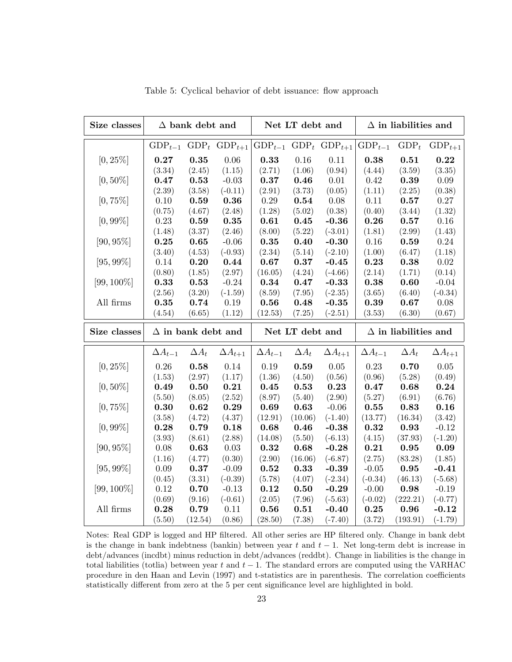| Size classes  |                           | $\Delta$ bank debt and |                     |                  | Net LT debt and |                                 |                  | $\Delta$ in liabilities and |                  |  |
|---------------|---------------------------|------------------------|---------------------|------------------|-----------------|---------------------------------|------------------|-----------------------------|------------------|--|
|               | $GDP_{t-1}$               |                        | $GDP_t$ $GDP_{t+1}$ |                  |                 | $GDP_{t-1}$ $GDP_t$ $GDP_{t+1}$ | $GDP_{t-1}$      | $GDP_t$                     | $GDP_{t+1}$      |  |
| $[0, 25\%]$   | 0.27                      | $\bf 0.35$             | 0.06                | 0.33             | 0.16            | 0.11                            | 0.38             | 0.51                        | 0.22             |  |
|               | (3.34)                    | (2.45)                 | (1.15)              | (2.71)           | (1.06)          | (0.94)                          | (4.44)           | (3.59)                      | (3.35)           |  |
| $[0, 50\%]$   | 0.47                      | 0.53                   | $-0.03$             | 0.37             | 0.46            | 0.01                            | 0.42             | 0.39                        | 0.09             |  |
|               | (2.39)                    | (3.58)                 | $(-0.11)$           | (2.91)           | (3.73)          | (0.05)                          | (1.11)           | (2.25)                      | (0.38)           |  |
| $[0, 75\%]$   | 0.10                      | 0.59                   | $\bf 0.36$          | 0.29             | 0.54            | $0.08\,$                        | 0.11             | 0.57                        | $0.27\,$         |  |
|               | (0.75)                    | (4.67)                 | (2.48)              | (1.28)           | (5.02)          | (0.38)                          | (0.40)           | (3.44)                      | (1.32)           |  |
| $[0, 99\%]$   | 0.23                      | $\bf 0.59$             | 0.35                | 0.61             | 0.45            | $-0.36$                         | 0.26             | $\bf 0.57$                  | 0.16             |  |
|               | (1.48)                    | (3.37)                 | (2.46)              | (8.00)           | (5.22)          | $(-3.01)$                       | (1.81)           | (2.99)                      | (1.43)           |  |
| $[90, 95\%]$  | 0.25                      | $\bf 0.65$             | $-0.06$             | 0.35             | 0.40            | $-0.30$                         | 0.16             | 0.59                        | 0.24             |  |
|               | (3.40)                    | (4.53)                 | $(-0.93)$           | (2.34)           | (5.14)          | $(-2.10)$                       | (1.00)           | (6.47)                      | (1.18)           |  |
| $[95, 99\%]$  | 0.14                      | 0.20                   | 0.44                | 0.67             | 0.37            | $-0.45$                         | 0.23             | 0.38                        | 0.02             |  |
|               | (0.80)                    | (1.85)                 | (2.97)              | (16.05)          | (4.24)          | $(-4.66)$                       | (2.14)           | (1.71)                      | (0.14)           |  |
| $[99, 100\%]$ | 0.33                      | 0.53                   | $-0.24$             | 0.34             | 0.47            | $-0.33$                         | 0.38             | 0.60                        | $-0.04$          |  |
|               | (2.56)                    | (3.20)                 | $(-1.59)$           | (8.59)           | (7.95)          | $(-2.35)$                       | (3.65)           | (6.40)                      | $(-0.34)$        |  |
| All firms     | 0.35                      | 0.74                   | 0.19                | 0.56             | 0.48            | $-0.35$                         | 0.39             | 0.67                        | 0.08             |  |
|               | (4.54)                    | (6.65)                 | (1.12)              | (12.53)          | (7.25)          | $(-2.51)$                       | (3.53)           | (6.30)                      | (0.67)           |  |
| Size classes  | $\Delta$ in bank debt and |                        |                     |                  | Net LT debt and |                                 |                  | $\Delta$ in liabilities and |                  |  |
|               | $\Delta A_{t-1}$          | $\Delta A_t$           | $\Delta A_{t+1}$    | $\Delta A_{t-1}$ | $\Delta A_t$    | $\Delta A_{t+1}$                | $\Delta A_{t-1}$ | $\Delta A_t$                | $\Delta A_{t+1}$ |  |
| $[0, 25\%]$   | $0.26\,$                  | 0.58                   | 0.14                | 0.19             | 0.59            | 0.05                            | 0.23             | 0.70                        | 0.05             |  |
|               | (1.53)                    | (2.97)                 | (1.17)              | (1.36)           | (4.50)          | (0.56)                          | (0.96)           | (5.28)                      | (0.49)           |  |
| $[0, 50\%]$   | 0.49                      | 0.50                   | 0.21                | $\bf 0.45$       | 0.53            | 0.23                            | 0.47             | 0.68                        | 0.24             |  |
|               | (5.50)                    | (8.05)                 | (2.52)              | (8.97)           | (5.40)          | (2.90)                          | (5.27)           | (6.91)                      | (6.76)           |  |
| $[0, 75\%]$   | 0.30                      | 0.62                   | 0.29                | 0.69             | 0.63            | $-0.06$                         | $\bf 0.55$       | 0.83                        | 0.16             |  |
|               | (3.58)                    | (4.72)                 | (4.37)              | (12.91)          | (10.06)         | $(-1.40)$                       | (13.77)          | (16.34)                     | (3.42)           |  |
| $[0, 99\%]$   | 0.28                      | 0.79                   | 0.18                | 0.68             | 0.46            | $-0.38$                         | 0.32             | 0.93                        | $-0.12$          |  |
|               | (3.93)                    | (8.61)                 | (2.88)              | (14.08)          | (5.50)          | $(-6.13)$                       | (4.15)           | (37.93)                     | $(-1.20)$        |  |
| $[90, 95\%]$  | $0.08\,$                  | 0.63                   | 0.03                | 0.32             | 0.68            | $-0.28$                         | 0.21             | 0.95                        | 0.09             |  |
|               | (1.16)                    | (4.77)                 | (0.30)              | (2.90)           | (16.06)         | $(-6.87)$                       | (2.75)           | (83.28)                     | (1.85)           |  |
| $[95, 99\%]$  | 0.09                      | 0.37                   | $-0.09$             | 0.52             | 0.33            | $-0.39$                         | $-0.05$          | 0.95                        | $-0.41$          |  |
|               | (0.45)                    | (3.31)                 | $(-0.39)$           | (5.78)           | (4.07)          | $(-2.34)$                       | $(-0.34)$        | (46.13)                     | $(-5.68)$        |  |
| $[99, 100\%]$ | $0.12\,$                  | 0.70                   | $-0.13$             | 0.12             | $0.50\,$        | $-0.29$                         | $-0.00$          | 0.98                        | $-0.19$          |  |
|               | (0.69)                    | (9.16)                 | $(-0.61)$           | (2.05)           | (7.96)          | $(-5.63)$                       | $(-0.02)$        | (222.21)                    | $(-0.77)$        |  |
| All firms     | 0.28                      | 0.79                   | 0.11                | 0.56             | 0.51            | $-0.40$                         | 0.25             | 0.96                        | $-0.12$          |  |
|               | (5.50)                    | (12.54)                | (0.86)              | (28.50)          | (7.38)          | $(-7.40)$                       | (3.72)           | (193.91)                    | $(-1.79)$        |  |

Table 5: Cyclical behavior of debt issuance: flow approach

Notes: Real GDP is logged and HP filtered. All other series are HP filtered only. Change in bank debt is the change in bank indebtness (bankin) between year t and  $t - 1$ . Net long-term debt is increase in debt/advances (incdbt) minus reduction in debt/advances (reddbt). Change in liabilities is the change in total liabilities (totlia) between year t and  $t - 1$ . The standard errors are computed using the VARHAC procedure in den Haan and Levin (1997) and t-statistics are in parenthesis. The correlation coefficients statistically different from zero at the 5 per cent significance level are highlighted in bold.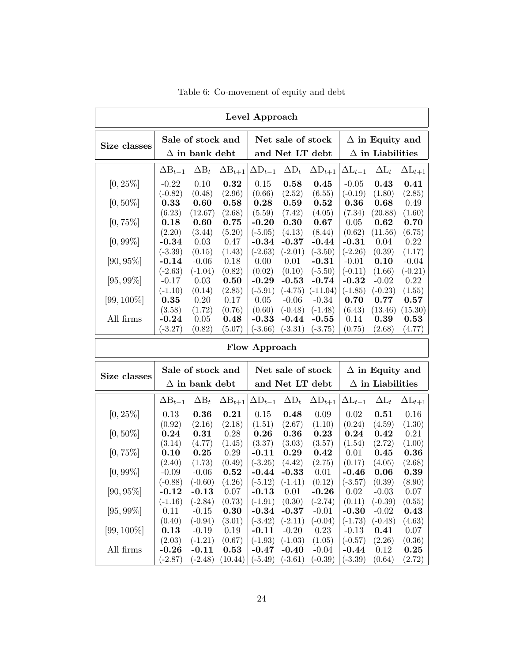|               |                      |                       |                  | Level Approach       |                      |                      |                         |                        |                   |
|---------------|----------------------|-----------------------|------------------|----------------------|----------------------|----------------------|-------------------------|------------------------|-------------------|
| Size classes  |                      | Sale of stock and     |                  |                      | Net sale of stock    |                      |                         | $\Delta$ in Equity and |                   |
|               |                      | $\Delta$ in bank debt |                  |                      | and Net LT debt      |                      | $\Delta$ in Liabilities |                        |                   |
|               | $\Delta B_{t-1}$     | $\Delta B_t$          | $\Delta B_{t+1}$ | $\Delta D_{t-1}$     | $\Delta D_t$         | $\Delta D_{t+1}$     | $\Delta L_{t-1}$        | $\Delta L_t$           | $\Delta L_{t+1}$  |
| $[0, 25\%]$   | $-0.22$              | 0.10                  | 0.32             | 0.15                 | 0.58                 | 0.45                 | $-0.05$                 | 0.43                   | 0.41              |
|               | $(-0.82)$            | (0.48)                | (2.96)           | (0.66)               | (2.52)               | (6.55)               | $(-0.19)$               | (1.80)                 | (2.85)            |
| $[0, 50\%]$   | 0.33                 | 0.60                  | 0.58             | 0.28                 | 0.59                 | 0.52                 | 0.36                    | 0.68                   | 0.49              |
|               | (6.23)               | (12.67)               | (2.68)           | (5.59)               | (7.42)               | (4.05)               | (7.34)                  | (20.88)                | (1.60)            |
| $[0, 75\%]$   | 0.18                 | 0.60                  | 0.75             | $-0.20$              | 0.30                 | 0.67                 | 0.05                    | 0.62                   | 0.70              |
|               | (2.20)               | (3.44)                | (5.20)<br>0.47   | $(-5.05)$<br>$-0.34$ | (4.13)<br>$-0.37$    | (8.44)               | (0.62)                  | (11.56)                | (6.75)<br>0.22    |
| $[0, 99\%]$   | $-0.34$              | 0.03<br>(0.15)        |                  |                      |                      | $-0.44$              | $-0.31$                 | 0.04                   |                   |
| $[90, 95\%]$  | $(-3.39)$<br>$-0.14$ | $-0.06$               | (1.43)<br>0.18   | $(-2.63)$<br>0.00    | $(-2.01)$<br>0.01    | $(-3.50)$<br>$-0.31$ | $(-2.26)$<br>$-0.01$    | (0.39)<br>0.10         | (1.17)<br>$-0.04$ |
|               | $(-2.63)$            | $(-1.04)$             | (0.82)           | (0.02)               | (0.10)               | $(-5.50)$            | $(-0.11)$               | (1.66)                 | $(-0.21)$         |
| $[95, 99\%]$  | $-0.17$              | 0.03                  | 0.50             | $-0.29$              | $-0.53$              | $-0.74$              | $-0.32$                 | $-0.02$                | 0.22              |
|               | $(-1.10)$            | (0.14)                | (2.85)           | $(-5.91)$            | $(-4.75)$            | $(-11.04)$           | $(-1.85)$               | $(-0.23)$              | (1.55)            |
| $[99, 100\%]$ | 0.35                 | 0.20                  | 0.17             | 0.05                 | $-0.06$              | $-0.34$              | 0.70                    | 0.77                   | 0.57              |
|               | (3.58)               | (1.72)                | (0.76)           | (0.60)               | $(-0.48)$            | $(-1.48)$            | (6.43)                  | (13.46)                | (15.30)           |
| All firms     | $-0.24$              | 0.05                  | 0.48             | $-0.33$              | $-0.44$              | $-0.55$              | 0.14                    | 0.39                   | 0.53              |
|               | $(-3.27)$            | (0.82)                | (5.07)           | $(-3.66)$            | $(-3.31)$            | $(-3.75)$            | (0.75)                  | (2.68)                 | (4.77)            |
|               |                      |                       |                  | Flow Approach        |                      |                      |                         |                        |                   |
| Size classes  |                      | Sale of stock and     |                  |                      | Net sale of stock    |                      | $\Delta$ in Equity and  |                        |                   |
|               |                      | $\Delta$ in bank debt |                  |                      | and Net LT debt      |                      | $\Delta$ in Liabilities |                        |                   |
|               | $\Delta B_{t-1}$     | $\Delta B_t$          | $\Delta B_{t+1}$ | $\Delta D_{t-1}$     | $\Delta D_t$         | $\Delta D_{t+1}$     | $\Delta L_{t-1}$        | $\Delta\mathrm{L}_t$   | $\Delta L_{t+1}$  |
| $[0, 25\%]$   | 0.13                 | 0.36                  | 0.21             | 0.15                 | 0.48                 | 0.09                 | 0.02                    | 0.51                   | 0.16              |
|               | (0.92)               | (2.16)                | (2.18)           | (1.51)               | (2.67)               | (1.10)               | (0.24)                  | (4.59)                 | (1.30)            |
| $[0, 50\%]$   | 0.24                 | 0.31                  | 0.28             | 0.26                 | 0.36                 | 0.23                 | 0.24                    | 0.42                   | 0.21              |
|               | (3.14)               | (4.77)                | (1.45)           | (3.37)               | (3.03)               | (3.57)               | (1.54)                  | (2.72)                 | (1.00)            |
| $[0, 75\%]$   | 0.10                 | $\bf 0.25$            | 0.29             | $-0.11$              | 0.29                 | 0.42                 | 0.01                    | 0.45                   | 0.36              |
|               | (2.40)               | (1.73)                | (0.49)           | $(-3.25)$            | (4.42)               | (2.75)               | (0.17)                  | (4.05)                 | (2.68)            |
| $[0, 99\%]$   | $-0.09$              | $-0.06$               | 0.52             | $-0.44$              | $-0.33$              | 0.01                 | $-0.46$                 | 0.06                   | 0.39              |
|               | $(-0.88)$            | $(-0.60)$             | (4.26)           | $(-5.12)$            | $(-1.41)$            | (0.12)               | $(-3.57)$               | (0.39)                 | (8.90)            |
| $[90, 95\%]$  | $-0.12$              | $-0.13$               | 0.07             | $-0.13$              | 0.01                 | $-0.26$              | 0.02                    | $-0.03$                | 0.07              |
|               | $(-1.16)$            | $(-2.84)$             | (0.73)           | $(-1.91)$            | (0.30)               | $(-2.74)$            | (0.11)                  | $(-0.39)$              | (0.55)            |
| $[95, 99\%]$  | 0.11                 | $-0.15$               | 0.30             | $-0.34$              | $-0.37$              | $-0.01$              | $-0.30$                 | $-0.02$                | 0.43              |
|               | (0.40)               | $(-0.94)$             | (3.01)           | $(-3.42)$            | $(-2.11)$            | $(-0.04)$            | $(-1.73)$               | $(-0.48)$              | (4.63)            |
| $[99, 100\%]$ | 0.13                 | $-0.19$               | 0.19             | $-0.11$              | $-0.20$              | 0.23                 | $-0.13$                 | 0.41                   | 0.07              |
|               | (2.03)               | $(-1.21)$             | (0.67)           | $(-1.93)$            | $(-1.03)$            | (1.05)               | $(-0.57)$               | (2.26)                 | (0.36)            |
| All firms     | $-0.26$<br>$(-2.87)$ | $-0.11$<br>$(-2.48)$  | 0.53<br>(10.44)  | $-0.47$<br>$(-5.49)$ | $-0.40$<br>$(-3.61)$ | $-0.04$<br>$(-0.39)$ | $-0.44$<br>$(-3.39)$    | 0.12<br>(0.64)         | 0.25<br>(2.72)    |

Table 6: Co-movement of equity and debt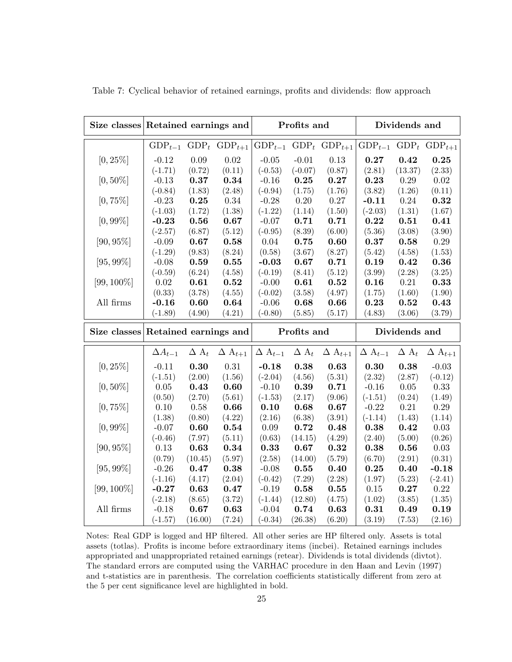| Size classes  | Retained earnings and |                 |                           |                           | Profits and     |                                 | Dividends and               |                |                                 |
|---------------|-----------------------|-----------------|---------------------------|---------------------------|-----------------|---------------------------------|-----------------------------|----------------|---------------------------------|
|               | $GDP_{t-1}$           |                 | $GDP_t$ $GDP_{t+1}$       |                           |                 | $GDP_{t-1}$ $GDP_t$ $GDP_{t+1}$ |                             |                | $GDP_{t-1}$ $GDP_t$ $GDP_{t+1}$ |
| $[0, 25\%]$   | $-0.12$               | 0.09            | 0.02                      | $-0.05$                   | $-0.01$         | 0.13                            | 0.27                        | 0.42           | 0.25                            |
|               | $(-1.71)$             | (0.72)          | (0.11)                    | $(-0.53)$                 | $(-0.07)$       | (0.87)                          | (2.81)                      | (13.37)        | (2.33)                          |
| $[0, 50\%]$   | $-0.13$               | 0.37            | 0.34                      | $-0.16$                   | 0.25            | 0.27                            | 0.23                        | 0.29           | $0.02\,$                        |
|               | $(-0.84)$             | (1.83)          | (2.48)                    | $(-0.94)$                 | (1.75)          | (1.76)                          | (3.82)                      | (1.26)         | (0.11)                          |
| $[0, 75\%]$   | $-0.23$               | 0.25            | 0.34                      | $-0.28$                   | $0.20\,$        | $0.27\,$                        | $-0.11$                     | 0.24           | 0.32                            |
|               | $(-1.03)$             | (1.72)          | (1.38)                    | $(-1.22)$                 | (1.14)          | (1.50)                          | $(-2.03)$                   | (1.31)         | (1.67)                          |
| $[0, 99\%]$   | $-0.23$               | 0.56            | 0.67                      | $-0.07$                   | 0.71            | 0.71                            | 0.22                        | 0.51           | 0.41                            |
|               | $(-2.57)$             | (6.87)          | (5.12)                    | $(-0.95)$                 | (8.39)          | (6.00)                          | (5.36)                      | (3.08)         | (3.90)                          |
| $[90, 95\%]$  | $-0.09$               | 0.67            | 0.58                      | 0.04                      | 0.75            | 0.60                            | 0.37                        | 0.58           | 0.29                            |
|               | $(-1.29)$             | (9.83)          | (8.24)                    | (0.58)                    | (3.67)          | (8.27)                          | (5.42)                      | (4.58)         | (1.53)                          |
| $[95, 99\%]$  | $-0.08$               | 0.59            | 0.55                      | $-0.03$                   | 0.67            | 0.71                            | 0.19                        | 0.42           | 0.36                            |
|               | $(-0.59)$             | (6.24)          | (4.58)                    | $(-0.19)$                 | (8.41)          | (5.12)                          | (3.99)                      | (2.28)         | (3.25)                          |
| $[99, 100\%]$ | 0.02                  | 0.61            | 0.52                      | $-0.00$                   | 0.61            | 0.52                            | 0.16                        | 0.21           | 0.33                            |
|               | (0.33)                | (3.78)          | (4.55)                    | $(-0.02)$                 | (3.58)          | (4.97)                          | (1.75)                      | (1.60)         | (1.90)                          |
| All firms     | $-0.16$               | 0.60            | 0.64                      | $-0.06$                   | 0.68            | 0.66                            | 0.23                        | 0.52           | 0.43                            |
|               | $(-1.89)$             | (4.90)          | (4.21)                    | $(-0.80)$                 | (5.85)          | (5.17)                          | (4.83)                      | (3.06)         | (3.79)                          |
|               |                       |                 |                           |                           |                 |                                 |                             |                |                                 |
| Size classes  | Retained earnings and |                 |                           |                           | Profits and     |                                 |                             | Dividends and  |                                 |
|               | $\Delta A_{t-1}$      | $\Delta A_t$    | $\Delta$ A <sub>t+1</sub> | $\Delta$ A <sub>t-1</sub> | $\Delta A_t$    | $\Delta$ A <sub>t+1</sub>       | $\Delta$ $\mathbf{A}_{t-1}$ | $\Delta A_t$   | $\Delta$ A <sub>t+1</sub>       |
|               | $-0.11$               | 0.30            | 0.31                      | $-0.18$                   | $\bf 0.38$      | $\bf 0.63$                      | 0.30                        | 0.38           | $-0.03$                         |
| $[0, 25\%]$   | $(-1.51)$             | (2.00)          | (1.56)                    | $(-2.04)$                 | (4.56)          | (5.31)                          | (2.32)                      | (2.87)         | $(-0.12)$                       |
| $[0, 50\%]$   | $0.05\,$              | 0.43            | 0.60                      | $-0.10$                   | 0.39            | 0.71                            | $-0.16$                     | 0.05           | 0.33                            |
|               | (0.50)                | (2.70)          | (5.61)                    | $(-1.53)$                 | (2.17)          | (9.06)                          | $(-1.51)$                   | (0.24)         | (1.49)                          |
| $[0, 75\%]$   | 0.10                  | 0.58            | 0.66                      | 0.10                      | 0.68            | 0.67                            | $-0.22$                     | 0.21           | 0.29                            |
|               | (1.38)                | (0.80)          | (4.22)                    | (2.16)                    | (6.38)          | (3.91)                          | $(-1.14)$                   | (1.43)         | (1.14)                          |
| $[0, 99\%]$   | $-0.07$               | 0.60            | 0.54                      | 0.09                      | 0.72            | 0.48                            | 0.38                        | 0.42           | 0.03                            |
|               | $(-0.46)$             | (7.97)          | (5.11)                    | (0.63)                    | (14.15)         | (4.29)                          | (2.40)                      | (5.00)         | (0.26)                          |
| $[90, 95\%]$  | 0.13                  | 0.63            | 0.34                      | 0.33                      | 0.67            | 0.32                            | 0.38                        | 0.56           | 0.03                            |
|               | (0.79)                | (10.45)         | (5.97)                    | (2.58)                    | (14.00)         | (5.79)                          | (6.70)                      | (2.91)         | (0.31)                          |
| $[95, 99\%]$  | $-0.26$               | 0.47            | 0.38                      | $-0.08$                   | 0.55            | 0.40                            | 0.25                        | 0.40           | $-0.18$                         |
|               | $(-1.16)$             | (4.17)          | (2.04)                    | $(-0.42)$                 | (7.29)          | (2.28)                          | (1.97)                      | (5.23)         | $(-2.41)$                       |
| $[99, 100\%]$ | $-0.27$               | 0.63            | 0.47                      | $-0.19$                   | 0.58            | 0.55                            | 0.15                        | 0.27           | 0.22                            |
|               | $(-2.18)$             | (8.65)          | (3.72)                    | $(-1.44)$                 | (12.80)         | (4.75)                          | (1.02)                      | (3.85)         | (1.35)                          |
| All firms     | $-0.18$<br>$(-1.57)$  | 0.67<br>(16.00) | 0.63<br>(7.24)            | $-0.04$<br>$(-0.34)$      | 0.74<br>(26.38) | 0.63<br>(6.20)                  | 0.31<br>(3.19)              | 0.49<br>(7.53) | 0.19<br>(2.16)                  |

Table 7: Cyclical behavior of retained earnings, profits and dividends: flow approach

Notes: Real GDP is logged and HP filtered. All other series are HP filtered only. Assets is total assets (totlas). Profits is income before extraordinary items (incbei). Retained earnings includes appropriated and unappropriated retained earnings (retear). Dividends is total dividends (divtot). The standard errors are computed using the VARHAC procedure in den Haan and Levin (1997) and t-statistics are in parenthesis. The correlation coefficients statistically different from zero at the 5 per cent significance level are highlighted in bold.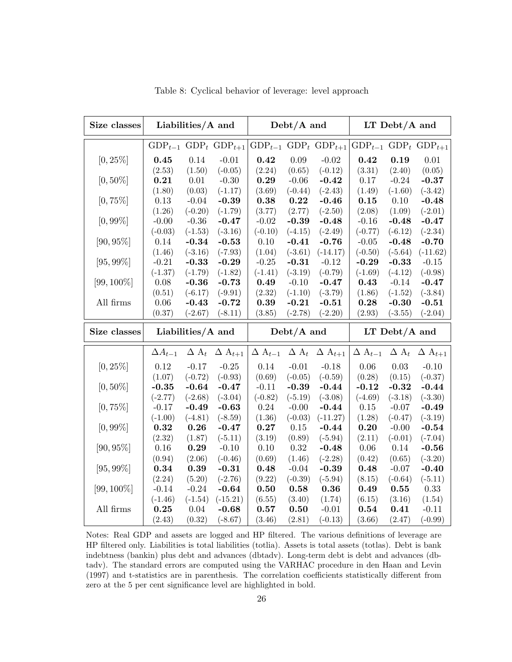| Size classes  |                  | Liabilities/A and |                                 |                  | $Debt/A$ and       |                                 |                           | LT $Debt/A$ and   |                                 |  |
|---------------|------------------|-------------------|---------------------------------|------------------|--------------------|---------------------------------|---------------------------|-------------------|---------------------------------|--|
|               |                  |                   | $GDP_{t-1}$ $GDP_t$ $GDP_{t+1}$ |                  |                    | $GDP_{t-1}$ $GDP_t$ $GDP_{t+1}$ |                           |                   | $GDP_{t-1}$ $GDP_t$ $GDP_{t+1}$ |  |
| $[0, 25\%]$   | 0.45             | 0.14              | $-0.01$                         | 0.42             | 0.09               | $-0.02$                         | 0.42                      | 0.19              | 0.01                            |  |
|               | (2.53)           | (1.50)            | $(-0.05)$                       | (2.24)           | (0.65)             | $(-0.12)$                       | (3.31)                    | (2.40)            | (0.05)                          |  |
| $[0, 50\%]$   | 0.21             | 0.01              | $-0.30$                         | 0.29             | $-0.06$            | $-0.42$                         | 0.17                      | $-0.24$           | $-0.37$                         |  |
|               | (1.80)           | (0.03)            | $(-1.17)$                       | (3.69)           | $(-0.44)$          | $(-2.43)$                       | (1.49)                    | $(-1.60)$         | $(-3.42)$                       |  |
| $[0, 75\%]$   | 0.13             | $-0.04$           | $-0.39$                         | 0.38             | 0.22               | $-0.46$                         | 0.15                      | 0.10              | $-0.48$                         |  |
|               | (1.26)           | $(-0.20)$         | $(-1.79)$                       | (3.77)           | (2.77)             | $(-2.50)$                       | (2.08)                    | (1.09)            | $(-2.01)$                       |  |
| $[0, 99\%]$   | $-0.00$          | $-0.36$           | $-0.47$                         | $-0.02$          | $-0.39$            | $-0.48$                         | $-0.16$                   | $-0.48$           | $-0.47$                         |  |
|               | $(-0.03)$        | $(-1.53)$         | $(-3.16)$                       | $(-0.10)$        | $(-4.15)$          | $(-2.49)$                       | $(-0.77)$                 | $(-6.12)$         | $(-2.34)$                       |  |
| $[90, 95\%]$  | 0.14             | $-0.34$           | $-0.53$                         | 0.10             | $-0.41$            | $-0.76$                         | $-0.05$                   | $-0.48$           | $-0.70$                         |  |
|               | (1.46)           | $(-3.16)$         | $(-7.93)$                       | (1.04)           | $(-3.61)$          | $(-14.17)$                      | $(-0.50)$                 | $(-5.64)$         | $(-11.62)$                      |  |
| $[95, 99\%]$  | $-0.21$          | $-0.33$           | $-0.29$                         | $-0.25$          | $-0.31$            | $-0.12$                         | $-0.29$                   | $-0.33$           | $-0.15$                         |  |
|               | $(-1.37)$        | $(-1.79)$         | $(-1.82)$                       | $(-1.41)$        | $(-3.19)$          | $(-0.79)$                       | $(-1.69)$                 | $(-4.12)$         | $(-0.98)$                       |  |
| $[99, 100\%]$ | 0.08             | $-0.36$           | $-0.73$                         | 0.49             | $-0.10$            | $-0.47$                         | 0.43                      | $-0.14$           | $-0.47$                         |  |
|               | (0.51)           | $(-6.17)$         | $(-9.91)$                       | (2.32)           | $(-1.10)$          | $(-3.79)$                       | (1.86)                    | $(-1.52)$         | $(-3.84)$                       |  |
| All firms     | 0.06             | $-0.43$           | $-0.72$                         | 0.39             | $-0.21$            | $-0.51$                         | 0.28                      | $-0.30$           | $-0.51$                         |  |
|               | (0.37)           | $(-2.67)$         | $(-8.11)$                       | (3.85)           | $(-2.78)$          | $(-2.20)$                       | (2.93)                    | $(-3.55)$         | $(-2.04)$                       |  |
|               |                  |                   |                                 |                  |                    |                                 |                           |                   |                                 |  |
| Size classes  |                  | Liabilities/A and |                                 |                  | $Debt/A$ and       |                                 |                           | LT $Debt/A$ and   |                                 |  |
|               | $\Delta A_{t-1}$ | $\Delta A_t$      | $\Delta$ A <sub>t+1</sub>       | $\Delta A_{t-1}$ | $\Delta A_t$       | $\Delta$ A <sub>t+1</sub>       | $\Delta$ A <sub>t-1</sub> | $\Delta A_t$      | $\Delta$ A <sub>t+1</sub>       |  |
|               |                  |                   |                                 |                  |                    |                                 |                           |                   |                                 |  |
| $[0, 25\%]$   | 0.12             | $-0.17$           | $-0.25$                         | 0.14             | $-0.01$            | $-0.18$                         | $0.06\,$                  | 0.03              | $-0.10$                         |  |
|               | (1.07)           | $(-0.72)$         | $(-0.93)$                       | (0.69)           | $(-0.05)$          | $(-0.59)$                       | (0.28)                    | (0.15)            | $(-0.37)$                       |  |
| $[0, 50\%]$   | $-0.35$          | $-0.64$           | $-0.47$                         | $-0.11$          | $-0.39$            | $-0.44$                         | $-0.12$                   | $-0.32$           | $-0.44$                         |  |
|               | $(-2.77)$        | $(-2.68)$         | $(-3.04)$                       | $(-0.82)$        | $(-5.19)$          | $(-3.08)$                       | $(-4.69)$                 | $(-3.18)$         | $(-3.30)$                       |  |
| $[0, 75\%]$   | $-0.17$          | $-0.49$           | $-0.63$                         | 0.24             | $-0.00$            | $-0.44$                         | 0.15                      | $-0.07$           | $-0.49$                         |  |
|               | $(-1.00)$        | $(-4.81)$         | $(-8.59)$                       | (1.36)           | $(-0.03)$          | $(-11.27)$                      | (1.28)                    | $(-0.47)$         | $(-3.19)$                       |  |
| $[0, 99\%]$   | 0.32             | 0.26              | $-0.47$                         | 0.27             | 0.15               | $-0.44$                         | 0.20                      | $-0.00$           | $-0.54$                         |  |
|               | (2.32)<br>0.16   | (1.87)<br>0.29    | $(-5.11)$<br>$-0.10$            | (3.19)<br>0.10   | (0.89)<br>$0.32\,$ | $(-5.94)$<br>$-0.48$            | (2.11)<br>0.06            | $(-0.01)$<br>0.14 | $(-7.04)$<br>$-0.56$            |  |
| $[90, 95\%]$  | (0.94)           | (2.06)            | $(-0.46)$                       | (0.69)           |                    | $(-2.28)$                       | (0.42)                    | (0.65)            |                                 |  |
| $[95, 99\%]$  | 0.34             | 0.39              | $-0.31$                         | 0.48             | (1.46)<br>$-0.04$  | $-0.39$                         | 0.48                      | $-0.07$           | $(-3.20)$<br>$-0.40$            |  |
|               | (2.24)           | (5.20)            | $(-2.76)$                       | (9.22)           | $(-0.39)$          | $(-5.94)$                       | (8.15)                    | $(-0.64)$         | $(-5.11)$                       |  |
| $[99, 100\%]$ | $-0.14$          | $-0.24$           | $-0.64$                         | 0.50             | 0.58               | 0.36                            | 0.49                      | $\bf 0.55$        | 0.33                            |  |
|               | $(-1.46)$        | $(-1.54)$         | $(-15.21)$                      | (6.55)           | (3.40)             | (1.74)                          | (6.15)                    | (3.16)            | (1.54)                          |  |
| All firms     | 0.25             | 0.04              | $-0.68$                         | 0.57             | 0.50               | $-0.01$                         | 0.54                      | 0.41              | $-0.11$                         |  |

Table 8: Cyclical behavior of leverage: level approach

Notes: Real GDP and assets are logged and HP filtered. The various definitions of leverage are HP filtered only. Liabilities is total liabilities (totlia). Assets is total assets (totlas). Debt is bank indebtness (bankin) plus debt and advances (dbtadv). Long-term debt is debt and advances (dbtadv). The standard errors are computed using the VARHAC procedure in den Haan and Levin (1997) and t-statistics are in parenthesis. The correlation coefficients statistically different from zero at the 5 per cent significance level are highlighted in bold.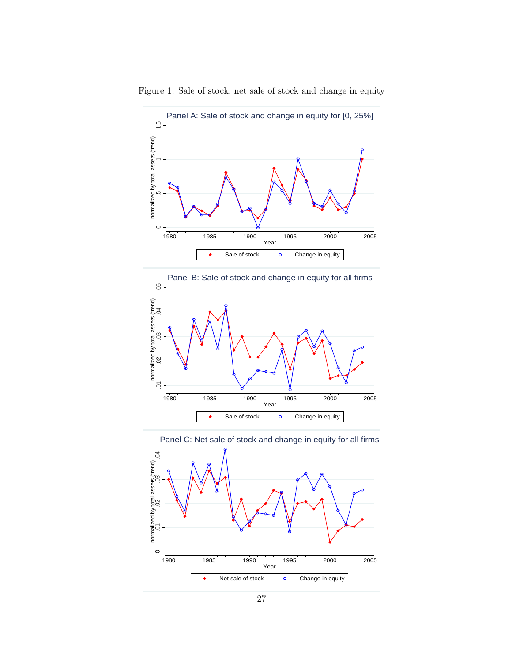

Figure 1: Sale of stock, net sale of stock and change in equity

![](_page_30_Figure_2.jpeg)

1980 1985 1990 1995 2000 2005 Year

Net sale of stock  $\frac{\ }{\ }$   $\frac{\ }{\ }$  Change in equity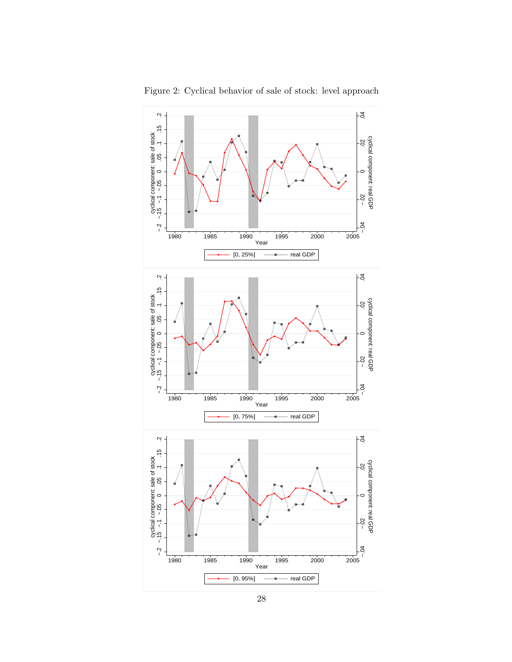![](_page_31_Figure_0.jpeg)

Figure 2: Cyclical behavior of sale of stock: level approach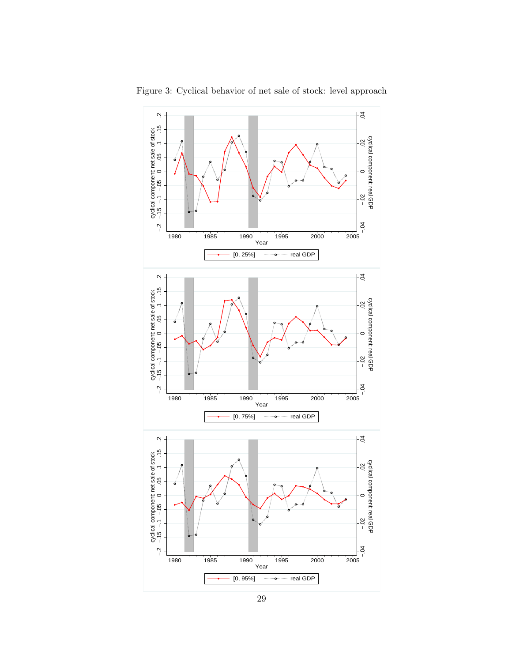![](_page_32_Figure_0.jpeg)

Figure 3: Cyclical behavior of net sale of stock: level approach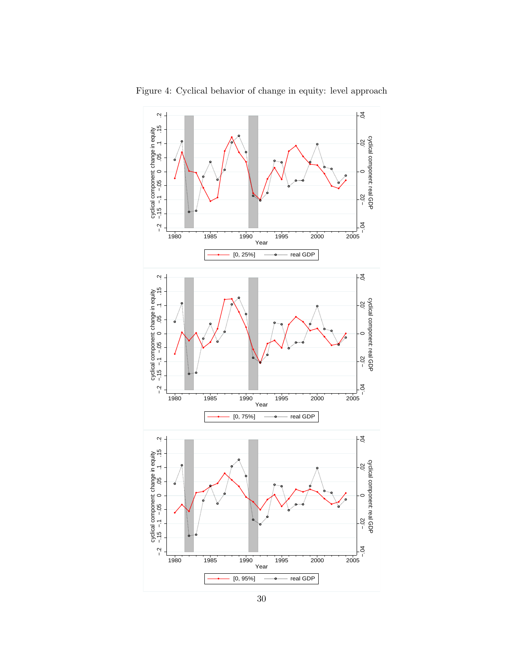![](_page_33_Figure_0.jpeg)

Figure 4: Cyclical behavior of change in equity: level approach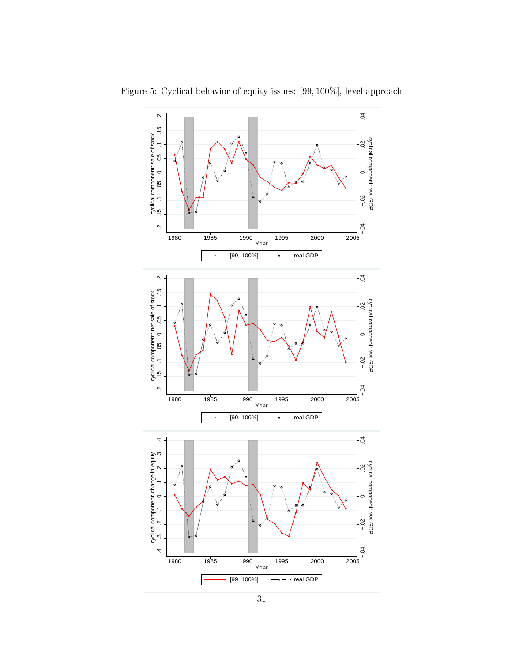![](_page_34_Figure_0.jpeg)

Figure 5: Cyclical behavior of equity issues: [99, 100%], level approach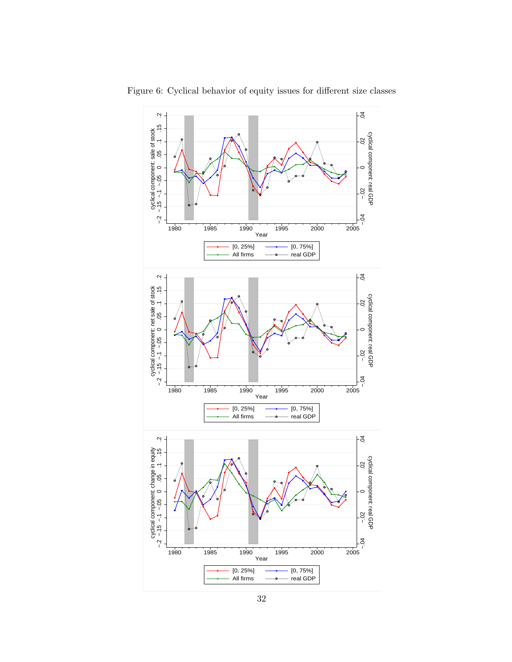![](_page_35_Figure_0.jpeg)

Figure 6: Cyclical behavior of equity issues for different size classes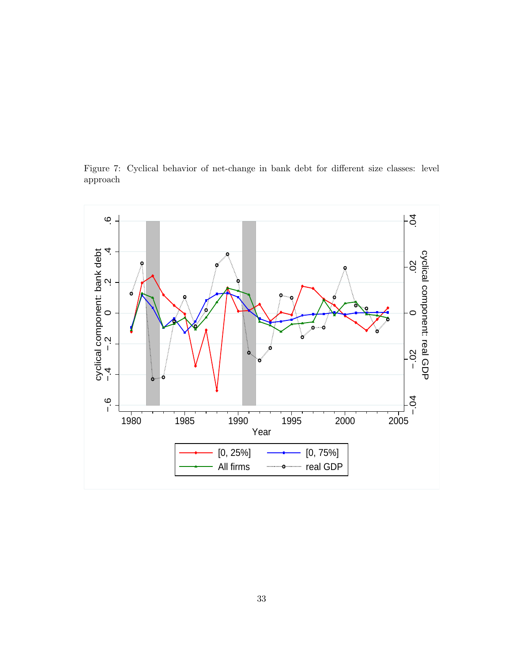Figure 7: Cyclical behavior of net-change in bank debt for different size classes: level approach

![](_page_36_Figure_1.jpeg)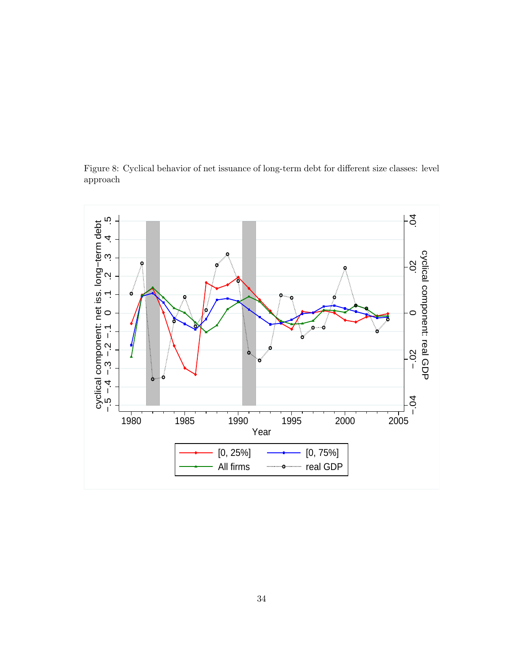![](_page_37_Figure_0.jpeg)

Figure 8: Cyclical behavior of net issuance of long-term debt for different size classes: level approach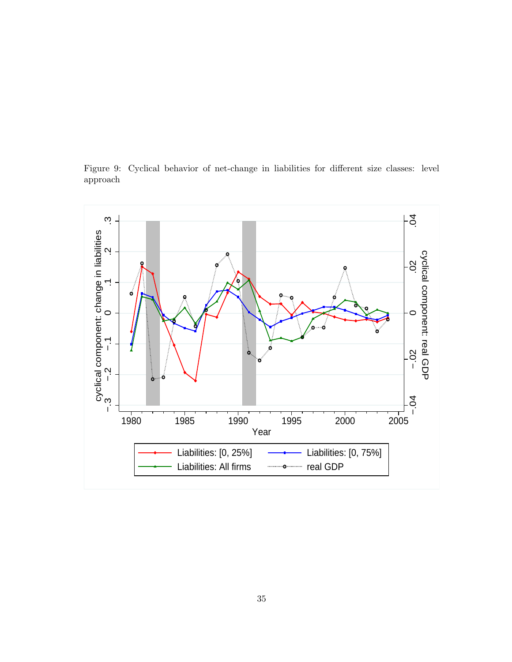Figure 9: Cyclical behavior of net-change in liabilities for different size classes: level approach

![](_page_38_Figure_1.jpeg)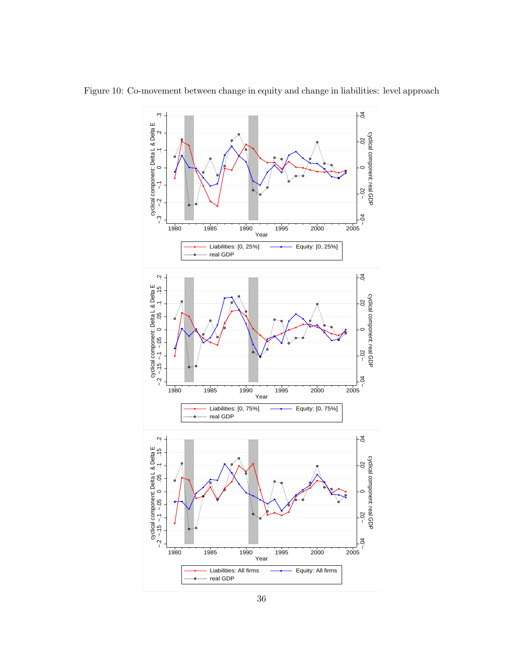![](_page_39_Figure_0.jpeg)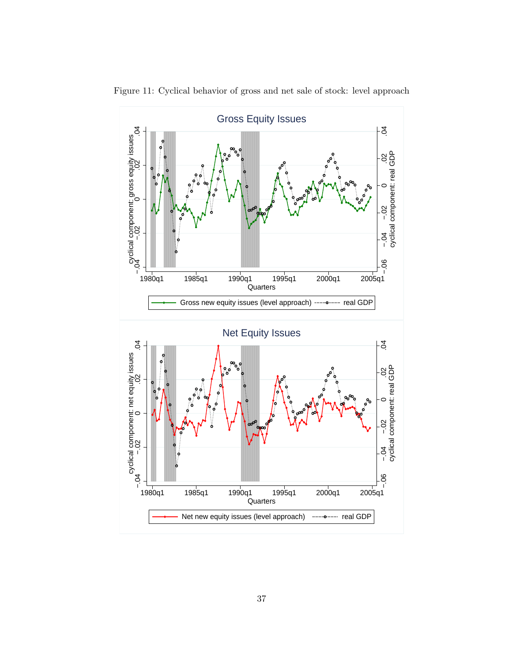![](_page_40_Figure_0.jpeg)

Figure 11: Cyclical behavior of gross and net sale of stock: level approach